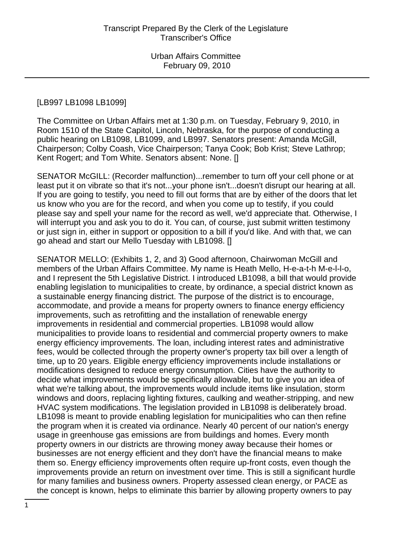### [LB997 LB1098 LB1099]

The Committee on Urban Affairs met at 1:30 p.m. on Tuesday, February 9, 2010, in Room 1510 of the State Capitol, Lincoln, Nebraska, for the purpose of conducting a public hearing on LB1098, LB1099, and LB997. Senators present: Amanda McGill, Chairperson; Colby Coash, Vice Chairperson; Tanya Cook; Bob Krist; Steve Lathrop; Kent Rogert; and Tom White. Senators absent: None. []

SENATOR McGILL: (Recorder malfunction)...remember to turn off your cell phone or at least put it on vibrate so that it's not...your phone isn't...doesn't disrupt our hearing at all. If you are going to testify, you need to fill out forms that are by either of the doors that let us know who you are for the record, and when you come up to testify, if you could please say and spell your name for the record as well, we'd appreciate that. Otherwise, I will interrupt you and ask you to do it. You can, of course, just submit written testimony or just sign in, either in support or opposition to a bill if you'd like. And with that, we can go ahead and start our Mello Tuesday with LB1098. []

SENATOR MELLO: (Exhibits 1, 2, and 3) Good afternoon, Chairwoman McGill and members of the Urban Affairs Committee. My name is Heath Mello, H-e-a-t-h M-e-l-l-o, and I represent the 5th Legislative District. I introduced LB1098, a bill that would provide enabling legislation to municipalities to create, by ordinance, a special district known as a sustainable energy financing district. The purpose of the district is to encourage, accommodate, and provide a means for property owners to finance energy efficiency improvements, such as retrofitting and the installation of renewable energy improvements in residential and commercial properties. LB1098 would allow municipalities to provide loans to residential and commercial property owners to make energy efficiency improvements. The loan, including interest rates and administrative fees, would be collected through the property owner's property tax bill over a length of time, up to 20 years. Eligible energy efficiency improvements include installations or modifications designed to reduce energy consumption. Cities have the authority to decide what improvements would be specifically allowable, but to give you an idea of what we're talking about, the improvements would include items like insulation, storm windows and doors, replacing lighting fixtures, caulking and weather-stripping, and new HVAC system modifications. The legislation provided in LB1098 is deliberately broad. LB1098 is meant to provide enabling legislation for municipalities who can then refine the program when it is created via ordinance. Nearly 40 percent of our nation's energy usage in greenhouse gas emissions are from buildings and homes. Every month property owners in our districts are throwing money away because their homes or businesses are not energy efficient and they don't have the financial means to make them so. Energy efficiency improvements often require up-front costs, even though the improvements provide an return on investment over time. This is still a significant hurdle for many families and business owners. Property assessed clean energy, or PACE as the concept is known, helps to eliminate this barrier by allowing property owners to pay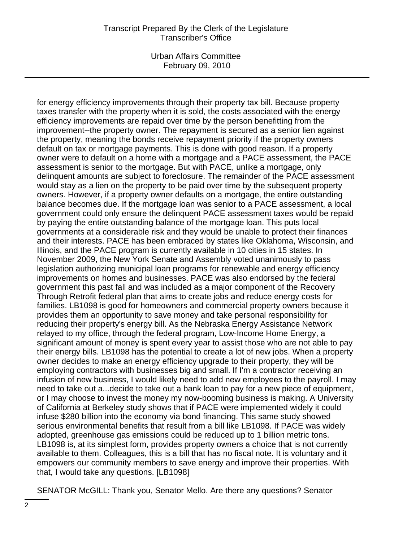Urban Affairs Committee February 09, 2010

for energy efficiency improvements through their property tax bill. Because property taxes transfer with the property when it is sold, the costs associated with the energy efficiency improvements are repaid over time by the person benefitting from the improvement--the property owner. The repayment is secured as a senior lien against the property, meaning the bonds receive repayment priority if the property owners default on tax or mortgage payments. This is done with good reason. If a property owner were to default on a home with a mortgage and a PACE assessment, the PACE assessment is senior to the mortgage. But with PACE, unlike a mortgage, only delinquent amounts are subject to foreclosure. The remainder of the PACE assessment would stay as a lien on the property to be paid over time by the subsequent property owners. However, if a property owner defaults on a mortgage, the entire outstanding balance becomes due. If the mortgage loan was senior to a PACE assessment, a local government could only ensure the delinquent PACE assessment taxes would be repaid by paying the entire outstanding balance of the mortgage loan. This puts local governments at a considerable risk and they would be unable to protect their finances and their interests. PACE has been embraced by states like Oklahoma, Wisconsin, and Illinois, and the PACE program is currently available in 10 cities in 15 states. In November 2009, the New York Senate and Assembly voted unanimously to pass legislation authorizing municipal loan programs for renewable and energy efficiency improvements on homes and businesses. PACE was also endorsed by the federal government this past fall and was included as a major component of the Recovery Through Retrofit federal plan that aims to create jobs and reduce energy costs for families. LB1098 is good for homeowners and commercial property owners because it provides them an opportunity to save money and take personal responsibility for reducing their property's energy bill. As the Nebraska Energy Assistance Network relayed to my office, through the federal program, Low-Income Home Energy, a significant amount of money is spent every year to assist those who are not able to pay their energy bills. LB1098 has the potential to create a lot of new jobs. When a property owner decides to make an energy efficiency upgrade to their property, they will be employing contractors with businesses big and small. If I'm a contractor receiving an infusion of new business, I would likely need to add new employees to the payroll. I may need to take out a...decide to take out a bank loan to pay for a new piece of equipment, or I may choose to invest the money my now-booming business is making. A University of California at Berkeley study shows that if PACE were implemented widely it could infuse \$280 billion into the economy via bond financing. This same study showed serious environmental benefits that result from a bill like LB1098. If PACE was widely adopted, greenhouse gas emissions could be reduced up to 1 billion metric tons. LB1098 is, at its simplest form, provides property owners a choice that is not currently available to them. Colleagues, this is a bill that has no fiscal note. It is voluntary and it empowers our community members to save energy and improve their properties. With that, I would take any questions. [LB1098]

SENATOR McGILL: Thank you, Senator Mello. Are there any questions? Senator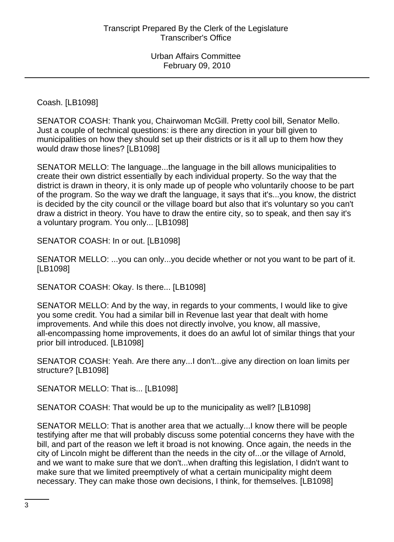Coash. [LB1098]

SENATOR COASH: Thank you, Chairwoman McGill. Pretty cool bill, Senator Mello. Just a couple of technical questions: is there any direction in your bill given to municipalities on how they should set up their districts or is it all up to them how they would draw those lines? [LB1098]

SENATOR MELLO: The language...the language in the bill allows municipalities to create their own district essentially by each individual property. So the way that the district is drawn in theory, it is only made up of people who voluntarily choose to be part of the program. So the way we draft the language, it says that it's...you know, the district is decided by the city council or the village board but also that it's voluntary so you can't draw a district in theory. You have to draw the entire city, so to speak, and then say it's a voluntary program. You only... [LB1098]

SENATOR COASH: In or out. [LB1098]

SENATOR MELLO: ...you can only...you decide whether or not you want to be part of it. [LB1098]

SENATOR COASH: Okay. Is there... [LB1098]

SENATOR MELLO: And by the way, in regards to your comments, I would like to give you some credit. You had a similar bill in Revenue last year that dealt with home improvements. And while this does not directly involve, you know, all massive, all-encompassing home improvements, it does do an awful lot of similar things that your prior bill introduced. [LB1098]

SENATOR COASH: Yeah. Are there any...I don't...give any direction on loan limits per structure? [LB1098]

SENATOR MELLO: That is... [LB1098]

SENATOR COASH: That would be up to the municipality as well? [LB1098]

SENATOR MELLO: That is another area that we actually...I know there will be people testifying after me that will probably discuss some potential concerns they have with the bill, and part of the reason we left it broad is not knowing. Once again, the needs in the city of Lincoln might be different than the needs in the city of...or the village of Arnold, and we want to make sure that we don't...when drafting this legislation, I didn't want to make sure that we limited preemptively of what a certain municipality might deem necessary. They can make those own decisions, I think, for themselves. [LB1098]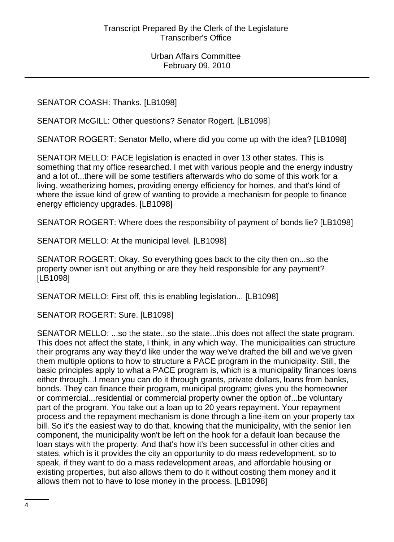SENATOR COASH: Thanks. [LB1098]

SENATOR McGILL: Other questions? Senator Rogert. [LB1098]

SENATOR ROGERT: Senator Mello, where did you come up with the idea? [LB1098]

SENATOR MELLO: PACE legislation is enacted in over 13 other states. This is something that my office researched. I met with various people and the energy industry and a lot of...there will be some testifiers afterwards who do some of this work for a living, weatherizing homes, providing energy efficiency for homes, and that's kind of where the issue kind of grew of wanting to provide a mechanism for people to finance energy efficiency upgrades. [LB1098]

SENATOR ROGERT: Where does the responsibility of payment of bonds lie? [LB1098]

SENATOR MELLO: At the municipal level. [LB1098]

SENATOR ROGERT: Okay. So everything goes back to the city then on...so the property owner isn't out anything or are they held responsible for any payment? [LB1098]

SENATOR MELLO: First off, this is enabling legislation... [LB1098]

SENATOR ROGERT: Sure. [LB1098]

SENATOR MELLO: ...so the state...so the state...this does not affect the state program. This does not affect the state, I think, in any which way. The municipalities can structure their programs any way they'd like under the way we've drafted the bill and we've given them multiple options to how to structure a PACE program in the municipality. Still, the basic principles apply to what a PACE program is, which is a municipality finances loans either through...I mean you can do it through grants, private dollars, loans from banks, bonds. They can finance their program, municipal program; gives you the homeowner or commercial...residential or commercial property owner the option of...be voluntary part of the program. You take out a loan up to 20 years repayment. Your repayment process and the repayment mechanism is done through a line-item on your property tax bill. So it's the easiest way to do that, knowing that the municipality, with the senior lien component, the municipality won't be left on the hook for a default loan because the loan stays with the property. And that's how it's been successful in other cities and states, which is it provides the city an opportunity to do mass redevelopment, so to speak, if they want to do a mass redevelopment areas, and affordable housing or existing properties, but also allows them to do it without costing them money and it allows them not to have to lose money in the process. [LB1098]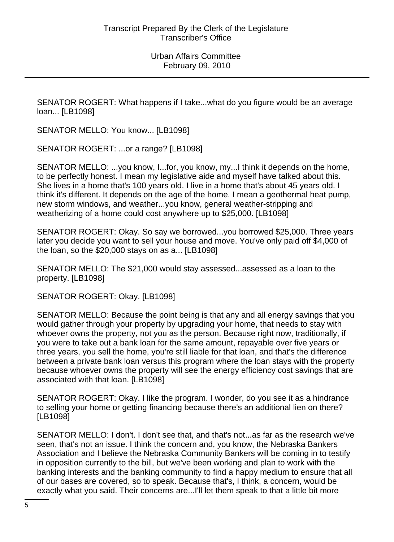SENATOR ROGERT: What happens if I take...what do you figure would be an average loan... [LB1098]

SENATOR MELLO: You know... [LB1098]

SENATOR ROGERT: ...or a range? [LB1098]

SENATOR MELLO: ...you know, I...for, you know, my...I think it depends on the home, to be perfectly honest. I mean my legislative aide and myself have talked about this. She lives in a home that's 100 years old. I live in a home that's about 45 years old. I think it's different. It depends on the age of the home. I mean a geothermal heat pump, new storm windows, and weather...you know, general weather-stripping and weatherizing of a home could cost anywhere up to \$25,000. [LB1098]

SENATOR ROGERT: Okay. So say we borrowed...you borrowed \$25,000. Three years later you decide you want to sell your house and move. You've only paid off \$4,000 of the loan, so the \$20,000 stays on as a... [LB1098]

SENATOR MELLO: The \$21,000 would stay assessed...assessed as a loan to the property. [LB1098]

SENATOR ROGERT: Okay. [LB1098]

SENATOR MELLO: Because the point being is that any and all energy savings that you would gather through your property by upgrading your home, that needs to stay with whoever owns the property, not you as the person. Because right now, traditionally, if you were to take out a bank loan for the same amount, repayable over five years or three years, you sell the home, you're still liable for that loan, and that's the difference between a private bank loan versus this program where the loan stays with the property because whoever owns the property will see the energy efficiency cost savings that are associated with that loan. [LB1098]

SENATOR ROGERT: Okay. I like the program. I wonder, do you see it as a hindrance to selling your home or getting financing because there's an additional lien on there? [LB1098]

SENATOR MELLO: I don't. I don't see that, and that's not...as far as the research we've seen, that's not an issue. I think the concern and, you know, the Nebraska Bankers Association and I believe the Nebraska Community Bankers will be coming in to testify in opposition currently to the bill, but we've been working and plan to work with the banking interests and the banking community to find a happy medium to ensure that all of our bases are covered, so to speak. Because that's, I think, a concern, would be exactly what you said. Their concerns are...I'll let them speak to that a little bit more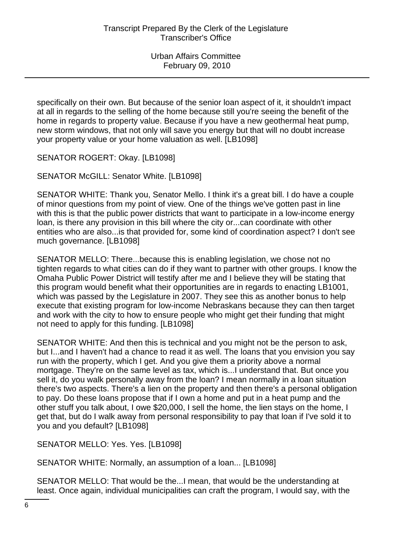specifically on their own. But because of the senior loan aspect of it, it shouldn't impact at all in regards to the selling of the home because still you're seeing the benefit of the home in regards to property value. Because if you have a new geothermal heat pump, new storm windows, that not only will save you energy but that will no doubt increase your property value or your home valuation as well. [LB1098]

SENATOR ROGERT: Okay. [LB1098]

SENATOR McGILL: Senator White. [LB1098]

SENATOR WHITE: Thank you, Senator Mello. I think it's a great bill. I do have a couple of minor questions from my point of view. One of the things we've gotten past in line with this is that the public power districts that want to participate in a low-income energy loan, is there any provision in this bill where the city or...can coordinate with other entities who are also...is that provided for, some kind of coordination aspect? I don't see much governance. [LB1098]

SENATOR MELLO: There...because this is enabling legislation, we chose not no tighten regards to what cities can do if they want to partner with other groups. I know the Omaha Public Power District will testify after me and I believe they will be stating that this program would benefit what their opportunities are in regards to enacting LB1001, which was passed by the Legislature in 2007. They see this as another bonus to help execute that existing program for low-income Nebraskans because they can then target and work with the city to how to ensure people who might get their funding that might not need to apply for this funding. [LB1098]

SENATOR WHITE: And then this is technical and you might not be the person to ask, but I...and I haven't had a chance to read it as well. The loans that you envision you say run with the property, which I get. And you give them a priority above a normal mortgage. They're on the same level as tax, which is...I understand that. But once you sell it, do you walk personally away from the loan? I mean normally in a loan situation there's two aspects. There's a lien on the property and then there's a personal obligation to pay. Do these loans propose that if I own a home and put in a heat pump and the other stuff you talk about, I owe \$20,000, I sell the home, the lien stays on the home, I get that, but do I walk away from personal responsibility to pay that loan if I've sold it to you and you default? [LB1098]

SENATOR MELLO: Yes. Yes. [LB1098]

SENATOR WHITE: Normally, an assumption of a loan... [LB1098]

SENATOR MELLO: That would be the...I mean, that would be the understanding at least. Once again, individual municipalities can craft the program, I would say, with the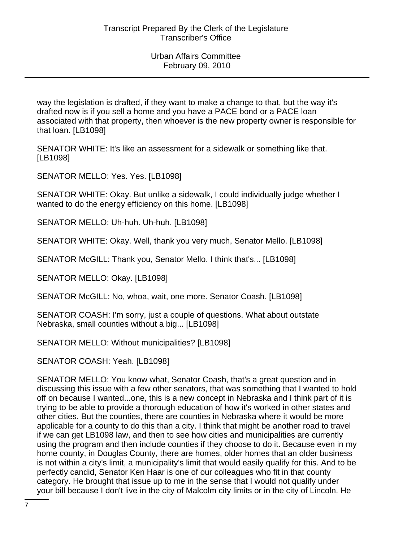way the legislation is drafted, if they want to make a change to that, but the way it's drafted now is if you sell a home and you have a PACE bond or a PACE loan associated with that property, then whoever is the new property owner is responsible for that loan. [LB1098]

SENATOR WHITE: It's like an assessment for a sidewalk or something like that. [LB1098]

SENATOR MELLO: Yes. Yes. [LB1098]

SENATOR WHITE: Okay. But unlike a sidewalk, I could individually judge whether I wanted to do the energy efficiency on this home. [LB1098]

SENATOR MELLO: Uh-huh. Uh-huh. [LB1098]

SENATOR WHITE: Okay. Well, thank you very much, Senator Mello. [LB1098]

SENATOR McGILL: Thank you, Senator Mello. I think that's... [LB1098]

SENATOR MELLO: Okay. [LB1098]

SENATOR McGILL: No, whoa, wait, one more. Senator Coash. [LB1098]

SENATOR COASH: I'm sorry, just a couple of questions. What about outstate Nebraska, small counties without a big... [LB1098]

SENATOR MELLO: Without municipalities? [LB1098]

SENATOR COASH: Yeah. [LB1098]

SENATOR MELLO: You know what, Senator Coash, that's a great question and in discussing this issue with a few other senators, that was something that I wanted to hold off on because I wanted...one, this is a new concept in Nebraska and I think part of it is trying to be able to provide a thorough education of how it's worked in other states and other cities. But the counties, there are counties in Nebraska where it would be more applicable for a county to do this than a city. I think that might be another road to travel if we can get LB1098 law, and then to see how cities and municipalities are currently using the program and then include counties if they choose to do it. Because even in my home county, in Douglas County, there are homes, older homes that an older business is not within a city's limit, a municipality's limit that would easily qualify for this. And to be perfectly candid, Senator Ken Haar is one of our colleagues who fit in that county category. He brought that issue up to me in the sense that I would not qualify under your bill because I don't live in the city of Malcolm city limits or in the city of Lincoln. He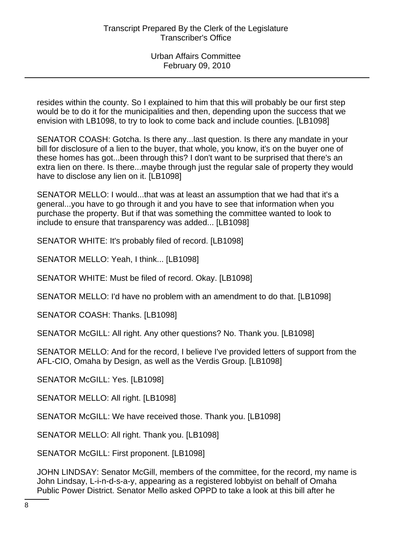resides within the county. So I explained to him that this will probably be our first step would be to do it for the municipalities and then, depending upon the success that we envision with LB1098, to try to look to come back and include counties. [LB1098]

SENATOR COASH: Gotcha. Is there any...last question. Is there any mandate in your bill for disclosure of a lien to the buyer, that whole, you know, it's on the buyer one of these homes has got...been through this? I don't want to be surprised that there's an extra lien on there. Is there...maybe through just the regular sale of property they would have to disclose any lien on it. [LB1098]

SENATOR MELLO: I would...that was at least an assumption that we had that it's a general...you have to go through it and you have to see that information when you purchase the property. But if that was something the committee wanted to look to include to ensure that transparency was added... [LB1098]

SENATOR WHITE: It's probably filed of record. [LB1098]

SENATOR MELLO: Yeah, I think... [LB1098]

SENATOR WHITE: Must be filed of record. Okay. [LB1098]

SENATOR MELLO: I'd have no problem with an amendment to do that. [LB1098]

SENATOR COASH: Thanks. [LB1098]

SENATOR McGILL: All right. Any other questions? No. Thank you. [LB1098]

SENATOR MELLO: And for the record, I believe I've provided letters of support from the AFL-CIO, Omaha by Design, as well as the Verdis Group. [LB1098]

SENATOR McGILL: Yes. [LB1098]

SENATOR MELLO: All right. [LB1098]

SENATOR McGILL: We have received those. Thank you. [LB1098]

SENATOR MELLO: All right. Thank you. [LB1098]

SENATOR McGILL: First proponent. [LB1098]

JOHN LINDSAY: Senator McGill, members of the committee, for the record, my name is John Lindsay, L-i-n-d-s-a-y, appearing as a registered lobbyist on behalf of Omaha Public Power District. Senator Mello asked OPPD to take a look at this bill after he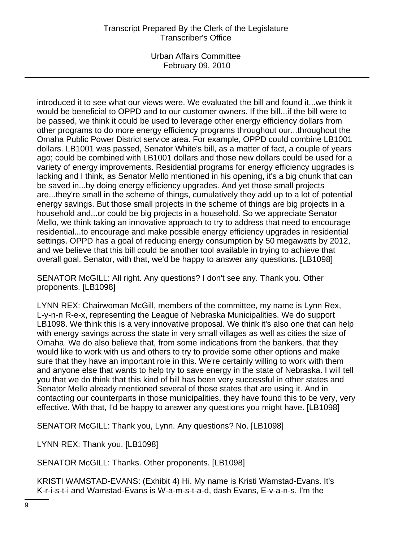Urban Affairs Committee February 09, 2010

introduced it to see what our views were. We evaluated the bill and found it...we think it would be beneficial to OPPD and to our customer owners. If the bill...if the bill were to be passed, we think it could be used to leverage other energy efficiency dollars from other programs to do more energy efficiency programs throughout our...throughout the Omaha Public Power District service area. For example, OPPD could combine LB1001 dollars. LB1001 was passed, Senator White's bill, as a matter of fact, a couple of years ago; could be combined with LB1001 dollars and those new dollars could be used for a variety of energy improvements. Residential programs for energy efficiency upgrades is lacking and I think, as Senator Mello mentioned in his opening, it's a big chunk that can be saved in...by doing energy efficiency upgrades. And yet those small projects are...they're small in the scheme of things, cumulatively they add up to a lot of potential energy savings. But those small projects in the scheme of things are big projects in a household and...or could be big projects in a household. So we appreciate Senator Mello, we think taking an innovative approach to try to address that need to encourage residential...to encourage and make possible energy efficiency upgrades in residential settings. OPPD has a goal of reducing energy consumption by 50 megawatts by 2012, and we believe that this bill could be another tool available in trying to achieve that overall goal. Senator, with that, we'd be happy to answer any questions. [LB1098]

SENATOR McGILL: All right. Any questions? I don't see any. Thank you. Other proponents. [LB1098]

LYNN REX: Chairwoman McGill, members of the committee, my name is Lynn Rex, L-y-n-n R-e-x, representing the League of Nebraska Municipalities. We do support LB1098. We think this is a very innovative proposal. We think it's also one that can help with energy savings across the state in very small villages as well as cities the size of Omaha. We do also believe that, from some indications from the bankers, that they would like to work with us and others to try to provide some other options and make sure that they have an important role in this. We're certainly willing to work with them and anyone else that wants to help try to save energy in the state of Nebraska. I will tell you that we do think that this kind of bill has been very successful in other states and Senator Mello already mentioned several of those states that are using it. And in contacting our counterparts in those municipalities, they have found this to be very, very effective. With that, I'd be happy to answer any questions you might have. [LB1098]

SENATOR McGILL: Thank you, Lynn. Any questions? No. [LB1098]

LYNN REX: Thank you. [LB1098]

SENATOR McGILL: Thanks. Other proponents. [LB1098]

KRISTI WAMSTAD-EVANS: (Exhibit 4) Hi. My name is Kristi Wamstad-Evans. It's K-r-i-s-t-i and Wamstad-Evans is W-a-m-s-t-a-d, dash Evans, E-v-a-n-s. I'm the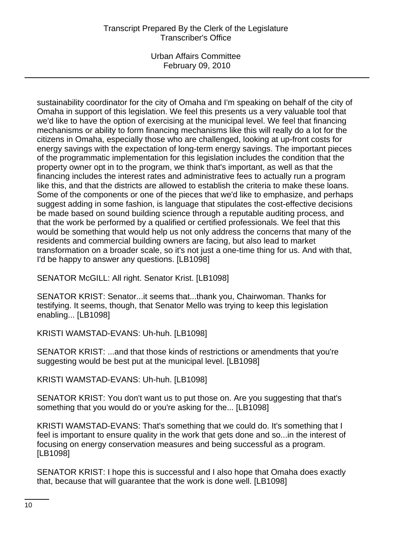Urban Affairs Committee February 09, 2010

sustainability coordinator for the city of Omaha and I'm speaking on behalf of the city of Omaha in support of this legislation. We feel this presents us a very valuable tool that we'd like to have the option of exercising at the municipal level. We feel that financing mechanisms or ability to form financing mechanisms like this will really do a lot for the citizens in Omaha, especially those who are challenged, looking at up-front costs for energy savings with the expectation of long-term energy savings. The important pieces of the programmatic implementation for this legislation includes the condition that the property owner opt in to the program, we think that's important, as well as that the financing includes the interest rates and administrative fees to actually run a program like this, and that the districts are allowed to establish the criteria to make these loans. Some of the components or one of the pieces that we'd like to emphasize, and perhaps suggest adding in some fashion, is language that stipulates the cost-effective decisions be made based on sound building science through a reputable auditing process, and that the work be performed by a qualified or certified professionals. We feel that this would be something that would help us not only address the concerns that many of the residents and commercial building owners are facing, but also lead to market transformation on a broader scale, so it's not just a one-time thing for us. And with that, I'd be happy to answer any questions. [LB1098]

SENATOR McGILL: All right. Senator Krist. [LB1098]

SENATOR KRIST: Senator...it seems that...thank you, Chairwoman. Thanks for testifying. It seems, though, that Senator Mello was trying to keep this legislation enabling... [LB1098]

KRISTI WAMSTAD-EVANS: Uh-huh. [LB1098]

SENATOR KRIST: ...and that those kinds of restrictions or amendments that you're suggesting would be best put at the municipal level. [LB1098]

KRISTI WAMSTAD-EVANS: Uh-huh. [LB1098]

SENATOR KRIST: You don't want us to put those on. Are you suggesting that that's something that you would do or you're asking for the... [LB1098]

KRISTI WAMSTAD-EVANS: That's something that we could do. It's something that I feel is important to ensure quality in the work that gets done and so...in the interest of focusing on energy conservation measures and being successful as a program. [LB1098]

SENATOR KRIST: I hope this is successful and I also hope that Omaha does exactly that, because that will guarantee that the work is done well. [LB1098]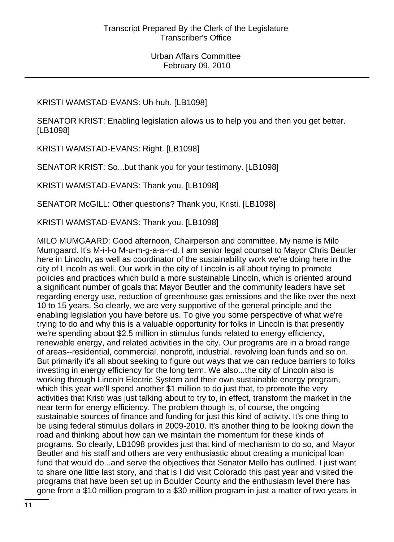KRISTI WAMSTAD-EVANS: Uh-huh. [LB1098]

SENATOR KRIST: Enabling legislation allows us to help you and then you get better. [LB1098]

KRISTI WAMSTAD-EVANS: Right. [LB1098]

SENATOR KRIST: So...but thank you for your testimony. [LB1098]

KRISTI WAMSTAD-EVANS: Thank you. [LB1098]

SENATOR McGILL: Other questions? Thank you, Kristi. [LB1098]

KRISTI WAMSTAD-EVANS: Thank you. [LB1098]

MILO MUMGAARD: Good afternoon, Chairperson and committee. My name is Milo Mumgaard. It's M-i-l-o M-u-m-g-a-a-r-d. I am senior legal counsel to Mayor Chris Beutler here in Lincoln, as well as coordinator of the sustainability work we're doing here in the city of Lincoln as well. Our work in the city of Lincoln is all about trying to promote policies and practices which build a more sustainable Lincoln, which is oriented around a significant number of goals that Mayor Beutler and the community leaders have set regarding energy use, reduction of greenhouse gas emissions and the like over the next 10 to 15 years. So clearly, we are very supportive of the general principle and the enabling legislation you have before us. To give you some perspective of what we're trying to do and why this is a valuable opportunity for folks in Lincoln is that presently we're spending about \$2.5 million in stimulus funds related to energy efficiency, renewable energy, and related activities in the city. Our programs are in a broad range of areas--residential, commercial, nonprofit, industrial, revolving loan funds and so on. But primarily it's all about seeking to figure out ways that we can reduce barriers to folks investing in energy efficiency for the long term. We also...the city of Lincoln also is working through Lincoln Electric System and their own sustainable energy program, which this year we'll spend another \$1 million to do just that, to promote the very activities that Kristi was just talking about to try to, in effect, transform the market in the near term for energy efficiency. The problem though is, of course, the ongoing sustainable sources of finance and funding for just this kind of activity. It's one thing to be using federal stimulus dollars in 2009-2010. It's another thing to be looking down the road and thinking about how can we maintain the momentum for these kinds of programs. So clearly, LB1098 provides just that kind of mechanism to do so, and Mayor Beutler and his staff and others are very enthusiastic about creating a municipal loan fund that would do...and serve the objectives that Senator Mello has outlined. I just want to share one little last story, and that is I did visit Colorado this past year and visited the programs that have been set up in Boulder County and the enthusiasm level there has gone from a \$10 million program to a \$30 million program in just a matter of two years in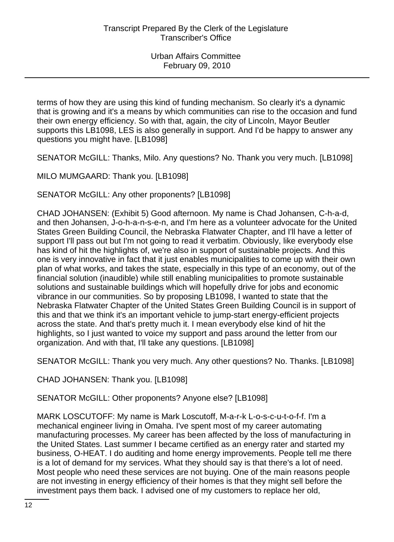terms of how they are using this kind of funding mechanism. So clearly it's a dynamic that is growing and it's a means by which communities can rise to the occasion and fund their own energy efficiency. So with that, again, the city of Lincoln, Mayor Beutler supports this LB1098, LES is also generally in support. And I'd be happy to answer any questions you might have. [LB1098]

SENATOR McGILL: Thanks, Milo. Any questions? No. Thank you very much. [LB1098]

MILO MUMGAARD: Thank you. [LB1098]

SENATOR McGILL: Any other proponents? [LB1098]

CHAD JOHANSEN: (Exhibit 5) Good afternoon. My name is Chad Johansen, C-h-a-d, and then Johansen, J-o-h-a-n-s-e-n, and I'm here as a volunteer advocate for the United States Green Building Council, the Nebraska Flatwater Chapter, and I'll have a letter of support I'll pass out but I'm not going to read it verbatim. Obviously, like everybody else has kind of hit the highlights of, we're also in support of sustainable projects. And this one is very innovative in fact that it just enables municipalities to come up with their own plan of what works, and takes the state, especially in this type of an economy, out of the financial solution (inaudible) while still enabling municipalities to promote sustainable solutions and sustainable buildings which will hopefully drive for jobs and economic vibrance in our communities. So by proposing LB1098, I wanted to state that the Nebraska Flatwater Chapter of the United States Green Building Council is in support of this and that we think it's an important vehicle to jump-start energy-efficient projects across the state. And that's pretty much it. I mean everybody else kind of hit the highlights, so I just wanted to voice my support and pass around the letter from our organization. And with that, I'll take any questions. [LB1098]

SENATOR McGILL: Thank you very much. Any other questions? No. Thanks. [LB1098]

CHAD JOHANSEN: Thank you. [LB1098]

SENATOR McGILL: Other proponents? Anyone else? [LB1098]

MARK LOSCUTOFF: My name is Mark Loscutoff, M-a-r-k L-o-s-c-u-t-o-f-f. I'm a mechanical engineer living in Omaha. I've spent most of my career automating manufacturing processes. My career has been affected by the loss of manufacturing in the United States. Last summer I became certified as an energy rater and started my business, O-HEAT. I do auditing and home energy improvements. People tell me there is a lot of demand for my services. What they should say is that there's a lot of need. Most people who need these services are not buying. One of the main reasons people are not investing in energy efficiency of their homes is that they might sell before the investment pays them back. I advised one of my customers to replace her old,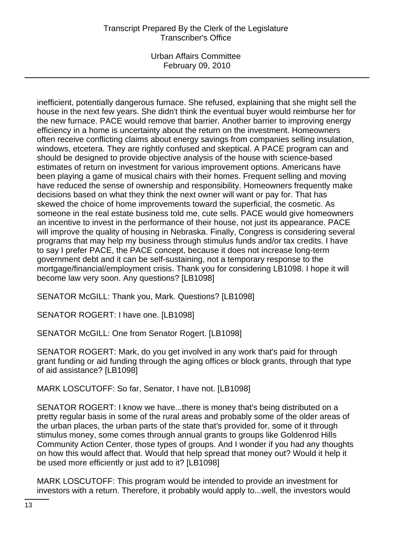Urban Affairs Committee February 09, 2010

inefficient, potentially dangerous furnace. She refused, explaining that she might sell the house in the next few years. She didn't think the eventual buyer would reimburse her for the new furnace. PACE would remove that barrier. Another barrier to improving energy efficiency in a home is uncertainty about the return on the investment. Homeowners often receive conflicting claims about energy savings from companies selling insulation, windows, etcetera. They are rightly confused and skeptical. A PACE program can and should be designed to provide objective analysis of the house with science-based estimates of return on investment for various improvement options. Americans have been playing a game of musical chairs with their homes. Frequent selling and moving have reduced the sense of ownership and responsibility. Homeowners frequently make decisions based on what they think the next owner will want or pay for. That has skewed the choice of home improvements toward the superficial, the cosmetic. As someone in the real estate business told me, cute sells. PACE would give homeowners an incentive to invest in the performance of their house, not just its appearance. PACE will improve the quality of housing in Nebraska. Finally, Congress is considering several programs that may help my business through stimulus funds and/or tax credits. I have to say I prefer PACE, the PACE concept, because it does not increase long-term government debt and it can be self-sustaining, not a temporary response to the mortgage/financial/employment crisis. Thank you for considering LB1098. I hope it will become law very soon. Any questions? [LB1098]

SENATOR McGILL: Thank you, Mark. Questions? [LB1098]

SENATOR ROGERT: I have one. [LB1098]

SENATOR McGILL: One from Senator Rogert. [LB1098]

SENATOR ROGERT: Mark, do you get involved in any work that's paid for through grant funding or aid funding through the aging offices or block grants, through that type of aid assistance? [LB1098]

MARK LOSCUTOFF: So far, Senator, I have not. [LB1098]

SENATOR ROGERT: I know we have...there is money that's being distributed on a pretty regular basis in some of the rural areas and probably some of the older areas of the urban places, the urban parts of the state that's provided for, some of it through stimulus money, some comes through annual grants to groups like Goldenrod Hills Community Action Center, those types of groups. And I wonder if you had any thoughts on how this would affect that. Would that help spread that money out? Would it help it be used more efficiently or just add to it? [LB1098]

MARK LOSCUTOFF: This program would be intended to provide an investment for investors with a return. Therefore, it probably would apply to...well, the investors would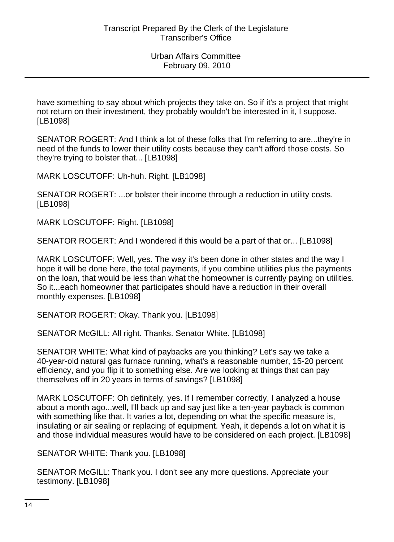have something to say about which projects they take on. So if it's a project that might not return on their investment, they probably wouldn't be interested in it, I suppose. [LB1098]

SENATOR ROGERT: And I think a lot of these folks that I'm referring to are...they're in need of the funds to lower their utility costs because they can't afford those costs. So they're trying to bolster that... [LB1098]

MARK LOSCUTOFF: Uh-huh. Right. [LB1098]

SENATOR ROGERT: ...or bolster their income through a reduction in utility costs. [LB1098]

MARK LOSCUTOFF: Right. [LB1098]

SENATOR ROGERT: And I wondered if this would be a part of that or... [LB1098]

MARK LOSCUTOFF: Well, yes. The way it's been done in other states and the way I hope it will be done here, the total payments, if you combine utilities plus the payments on the loan, that would be less than what the homeowner is currently paying on utilities. So it...each homeowner that participates should have a reduction in their overall monthly expenses. [LB1098]

SENATOR ROGERT: Okay. Thank you. [LB1098]

SENATOR McGILL: All right. Thanks. Senator White. [LB1098]

SENATOR WHITE: What kind of paybacks are you thinking? Let's say we take a 40-year-old natural gas furnace running, what's a reasonable number, 15-20 percent efficiency, and you flip it to something else. Are we looking at things that can pay themselves off in 20 years in terms of savings? [LB1098]

MARK LOSCUTOFF: Oh definitely, yes. If I remember correctly, I analyzed a house about a month ago...well, I'll back up and say just like a ten-year payback is common with something like that. It varies a lot, depending on what the specific measure is, insulating or air sealing or replacing of equipment. Yeah, it depends a lot on what it is and those individual measures would have to be considered on each project. [LB1098]

SENATOR WHITE: Thank you. [LB1098]

SENATOR McGILL: Thank you. I don't see any more questions. Appreciate your testimony. [LB1098]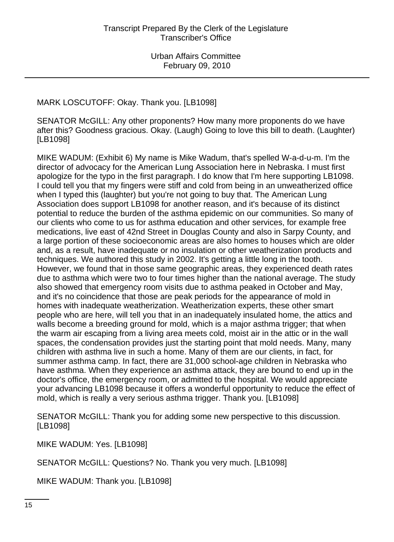# MARK LOSCUTOFF: Okay. Thank you. [LB1098]

SENATOR McGILL: Any other proponents? How many more proponents do we have after this? Goodness gracious. Okay. (Laugh) Going to love this bill to death. (Laughter) [LB1098]

MIKE WADUM: (Exhibit 6) My name is Mike Wadum, that's spelled W-a-d-u-m. I'm the director of advocacy for the American Lung Association here in Nebraska. I must first apologize for the typo in the first paragraph. I do know that I'm here supporting LB1098. I could tell you that my fingers were stiff and cold from being in an unweatherized office when I typed this (laughter) but you're not going to buy that. The American Lung Association does support LB1098 for another reason, and it's because of its distinct potential to reduce the burden of the asthma epidemic on our communities. So many of our clients who come to us for asthma education and other services, for example free medications, live east of 42nd Street in Douglas County and also in Sarpy County, and a large portion of these socioeconomic areas are also homes to houses which are older and, as a result, have inadequate or no insulation or other weatherization products and techniques. We authored this study in 2002. It's getting a little long in the tooth. However, we found that in those same geographic areas, they experienced death rates due to asthma which were two to four times higher than the national average. The study also showed that emergency room visits due to asthma peaked in October and May, and it's no coincidence that those are peak periods for the appearance of mold in homes with inadequate weatherization. Weatherization experts, these other smart people who are here, will tell you that in an inadequately insulated home, the attics and walls become a breeding ground for mold, which is a major asthma trigger; that when the warm air escaping from a living area meets cold, moist air in the attic or in the wall spaces, the condensation provides just the starting point that mold needs. Many, many children with asthma live in such a home. Many of them are our clients, in fact, for summer asthma camp. In fact, there are 31,000 school-age children in Nebraska who have asthma. When they experience an asthma attack, they are bound to end up in the doctor's office, the emergency room, or admitted to the hospital. We would appreciate your advancing LB1098 because it offers a wonderful opportunity to reduce the effect of mold, which is really a very serious asthma trigger. Thank you. [LB1098]

SENATOR McGILL: Thank you for adding some new perspective to this discussion. [LB1098]

MIKE WADUM: Yes. [LB1098]

SENATOR McGILL: Questions? No. Thank you very much. [LB1098]

MIKE WADUM: Thank you. [LB1098]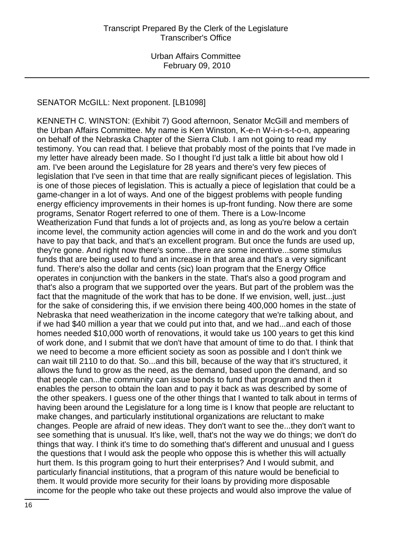# SENATOR McGILL: Next proponent. [LB1098]

KENNETH C. WINSTON: (Exhibit 7) Good afternoon, Senator McGill and members of the Urban Affairs Committee. My name is Ken Winston, K-e-n W-i-n-s-t-o-n, appearing on behalf of the Nebraska Chapter of the Sierra Club. I am not going to read my testimony. You can read that. I believe that probably most of the points that I've made in my letter have already been made. So I thought I'd just talk a little bit about how old I am. I've been around the Legislature for 28 years and there's very few pieces of legislation that I've seen in that time that are really significant pieces of legislation. This is one of those pieces of legislation. This is actually a piece of legislation that could be a game-changer in a lot of ways. And one of the biggest problems with people funding energy efficiency improvements in their homes is up-front funding. Now there are some programs, Senator Rogert referred to one of them. There is a Low-Income Weatherization Fund that funds a lot of projects and, as long as you're below a certain income level, the community action agencies will come in and do the work and you don't have to pay that back, and that's an excellent program. But once the funds are used up, they're gone. And right now there's some...there are some incentive...some stimulus funds that are being used to fund an increase in that area and that's a very significant fund. There's also the dollar and cents (sic) loan program that the Energy Office operates in conjunction with the bankers in the state. That's also a good program and that's also a program that we supported over the years. But part of the problem was the fact that the magnitude of the work that has to be done. If we envision, well, just...just for the sake of considering this, if we envision there being 400,000 homes in the state of Nebraska that need weatherization in the income category that we're talking about, and if we had \$40 million a year that we could put into that, and we had...and each of those homes needed \$10,000 worth of renovations, it would take us 100 years to get this kind of work done, and I submit that we don't have that amount of time to do that. I think that we need to become a more efficient society as soon as possible and I don't think we can wait till 2110 to do that. So...and this bill, because of the way that it's structured, it allows the fund to grow as the need, as the demand, based upon the demand, and so that people can...the community can issue bonds to fund that program and then it enables the person to obtain the loan and to pay it back as was described by some of the other speakers. I guess one of the other things that I wanted to talk about in terms of having been around the Legislature for a long time is I know that people are reluctant to make changes, and particularly institutional organizations are reluctant to make changes. People are afraid of new ideas. They don't want to see the...they don't want to see something that is unusual. It's like, well, that's not the way we do things; we don't do things that way. I think it's time to do something that's different and unusual and I guess the questions that I would ask the people who oppose this is whether this will actually hurt them. Is this program going to hurt their enterprises? And I would submit, and particularly financial institutions, that a program of this nature would be beneficial to them. It would provide more security for their loans by providing more disposable income for the people who take out these projects and would also improve the value of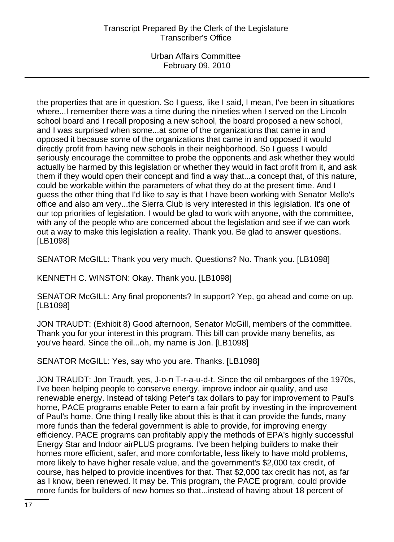the properties that are in question. So I guess, like I said, I mean, I've been in situations where...I remember there was a time during the nineties when I served on the Lincoln school board and I recall proposing a new school, the board proposed a new school, and I was surprised when some...at some of the organizations that came in and opposed it because some of the organizations that came in and opposed it would directly profit from having new schools in their neighborhood. So I guess I would seriously encourage the committee to probe the opponents and ask whether they would actually be harmed by this legislation or whether they would in fact profit from it, and ask them if they would open their concept and find a way that...a concept that, of this nature, could be workable within the parameters of what they do at the present time. And I guess the other thing that I'd like to say is that I have been working with Senator Mello's office and also am very...the Sierra Club is very interested in this legislation. It's one of our top priorities of legislation. I would be glad to work with anyone, with the committee, with any of the people who are concerned about the legislation and see if we can work out a way to make this legislation a reality. Thank you. Be glad to answer questions. [LB1098]

SENATOR McGILL: Thank you very much. Questions? No. Thank you. [LB1098]

KENNETH C. WINSTON: Okay. Thank you. [LB1098]

SENATOR McGILL: Any final proponents? In support? Yep, go ahead and come on up. [LB1098]

JON TRAUDT: (Exhibit 8) Good afternoon, Senator McGill, members of the committee. Thank you for your interest in this program. This bill can provide many benefits, as you've heard. Since the oil...oh, my name is Jon. [LB1098]

SENATOR McGILL: Yes, say who you are. Thanks. [LB1098]

JON TRAUDT: Jon Traudt, yes, J-o-n T-r-a-u-d-t. Since the oil embargoes of the 1970s, I've been helping people to conserve energy, improve indoor air quality, and use renewable energy. Instead of taking Peter's tax dollars to pay for improvement to Paul's home, PACE programs enable Peter to earn a fair profit by investing in the improvement of Paul's home. One thing I really like about this is that it can provide the funds, many more funds than the federal government is able to provide, for improving energy efficiency. PACE programs can profitably apply the methods of EPA's highly successful Energy Star and Indoor airPLUS programs. I've been helping builders to make their homes more efficient, safer, and more comfortable, less likely to have mold problems, more likely to have higher resale value, and the government's \$2,000 tax credit, of course, has helped to provide incentives for that. That \$2,000 tax credit has not, as far as I know, been renewed. It may be. This program, the PACE program, could provide more funds for builders of new homes so that...instead of having about 18 percent of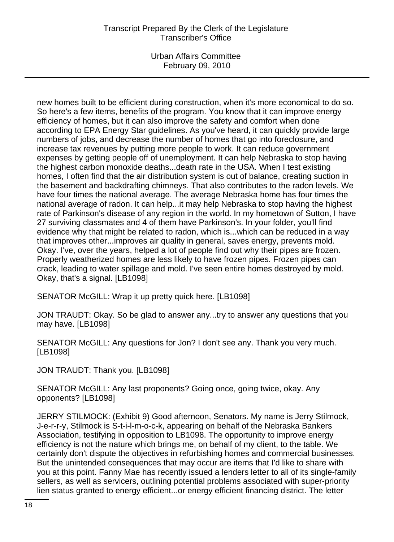Urban Affairs Committee February 09, 2010

new homes built to be efficient during construction, when it's more economical to do so. So here's a few items, benefits of the program. You know that it can improve energy efficiency of homes, but it can also improve the safety and comfort when done according to EPA Energy Star guidelines. As you've heard, it can quickly provide large numbers of jobs, and decrease the number of homes that go into foreclosure, and increase tax revenues by putting more people to work. It can reduce government expenses by getting people off of unemployment. It can help Nebraska to stop having the highest carbon monoxide deaths...death rate in the USA. When I test existing homes, I often find that the air distribution system is out of balance, creating suction in the basement and backdrafting chimneys. That also contributes to the radon levels. We have four times the national average. The average Nebraska home has four times the national average of radon. It can help...it may help Nebraska to stop having the highest rate of Parkinson's disease of any region in the world. In my hometown of Sutton, I have 27 surviving classmates and 4 of them have Parkinson's. In your folder, you'll find evidence why that might be related to radon, which is...which can be reduced in a way that improves other...improves air quality in general, saves energy, prevents mold. Okay. I've, over the years, helped a lot of people find out why their pipes are frozen. Properly weatherized homes are less likely to have frozen pipes. Frozen pipes can crack, leading to water spillage and mold. I've seen entire homes destroyed by mold. Okay, that's a signal. [LB1098]

SENATOR McGILL: Wrap it up pretty quick here. [LB1098]

JON TRAUDT: Okay. So be glad to answer any...try to answer any questions that you may have. [LB1098]

SENATOR McGILL: Any questions for Jon? I don't see any. Thank you very much. [LB1098]

JON TRAUDT: Thank you. [LB1098]

SENATOR McGILL: Any last proponents? Going once, going twice, okay. Any opponents? [LB1098]

JERRY STILMOCK: (Exhibit 9) Good afternoon, Senators. My name is Jerry Stilmock, J-e-r-r-y, Stilmock is S-t-i-l-m-o-c-k, appearing on behalf of the Nebraska Bankers Association, testifying in opposition to LB1098. The opportunity to improve energy efficiency is not the nature which brings me, on behalf of my client, to the table. We certainly don't dispute the objectives in refurbishing homes and commercial businesses. But the unintended consequences that may occur are items that I'd like to share with you at this point. Fanny Mae has recently issued a lenders letter to all of its single-family sellers, as well as servicers, outlining potential problems associated with super-priority lien status granted to energy efficient...or energy efficient financing district. The letter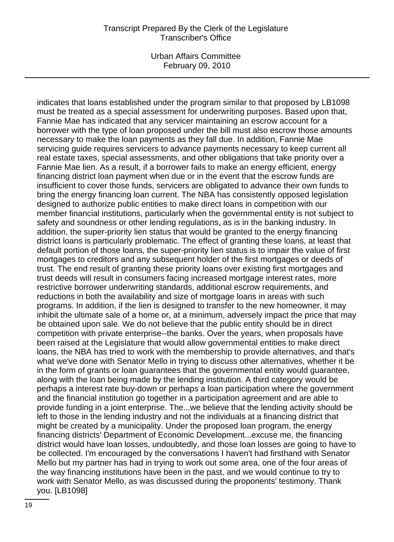Urban Affairs Committee February 09, 2010

indicates that loans established under the program similar to that proposed by LB1098 must be treated as a special assessment for underwriting purposes. Based upon that, Fannie Mae has indicated that any servicer maintaining an escrow account for a borrower with the type of loan proposed under the bill must also escrow those amounts necessary to make the loan payments as they fall due. In addition, Fannie Mae servicing guide requires servicers to advance payments necessary to keep current all real estate taxes, special assessments, and other obligations that take priority over a Fannie Mae lien. As a result, if a borrower fails to make an energy efficient, energy financing district loan payment when due or in the event that the escrow funds are insufficient to cover those funds, servicers are obligated to advance their own funds to bring the energy financing loan current. The NBA has consistently opposed legislation designed to authorize public entities to make direct loans in competition with our member financial institutions, particularly when the governmental entity is not subject to safety and soundness or other lending regulations, as is in the banking industry. In addition, the super-priority lien status that would be granted to the energy financing district loans is particularly problematic. The effect of granting these loans, at least that default portion of those loans, the super-priority lien status is to impair the value of first mortgages to creditors and any subsequent holder of the first mortgages or deeds of trust. The end result of granting these priority loans over existing first mortgages and trust deeds will result in consumers facing increased mortgage interest rates, more restrictive borrower underwriting standards, additional escrow requirements, and reductions in both the availability and size of mortgage loans in areas with such programs. In addition, if the lien is designed to transfer to the new homeowner, it may inhibit the ultimate sale of a home or, at a minimum, adversely impact the price that may be obtained upon sale. We do not believe that the public entity should be in direct competition with private enterprise--the banks. Over the years, when proposals have been raised at the Legislature that would allow governmental entities to make direct loans, the NBA has tried to work with the membership to provide alternatives, and that's what we've done with Senator Mello in trying to discuss other alternatives, whether it be in the form of grants or loan guarantees that the governmental entity would guarantee, along with the loan being made by the lending institution. A third category would be perhaps a interest rate buy-down or perhaps a loan participation where the government and the financial institution go together in a participation agreement and are able to provide funding in a joint enterprise. The...we believe that the lending activity should be left to those in the lending industry and not the individuals at a financing district that might be created by a municipality. Under the proposed loan program, the energy financing districts' Department of Economic Development...excuse me, the financing district would have loan losses, undoubtedly, and those loan losses are going to have to be collected. I'm encouraged by the conversations I haven't had firsthand with Senator Mello but my partner has had in trying to work out some area, one of the four areas of the way financing institutions have been in the past, and we would continue to try to work with Senator Mello, as was discussed during the proponents' testimony. Thank you. [LB1098]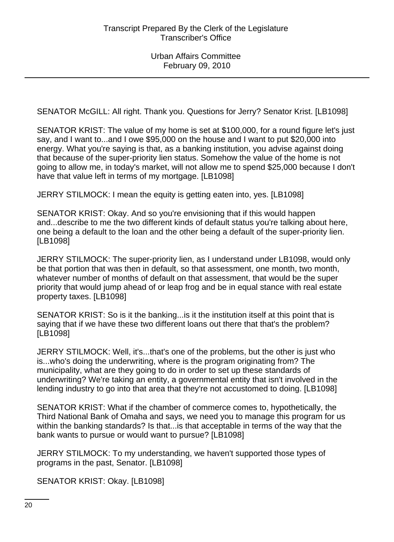SENATOR McGILL: All right. Thank you. Questions for Jerry? Senator Krist. [LB1098]

SENATOR KRIST: The value of my home is set at \$100,000, for a round figure let's just say, and I want to...and I owe \$95,000 on the house and I want to put \$20,000 into energy. What you're saying is that, as a banking institution, you advise against doing that because of the super-priority lien status. Somehow the value of the home is not going to allow me, in today's market, will not allow me to spend \$25,000 because I don't have that value left in terms of my mortgage. [LB1098]

JERRY STILMOCK: I mean the equity is getting eaten into, yes. [LB1098]

SENATOR KRIST: Okay. And so you're envisioning that if this would happen and...describe to me the two different kinds of default status you're talking about here, one being a default to the loan and the other being a default of the super-priority lien. [LB1098]

JERRY STILMOCK: The super-priority lien, as I understand under LB1098, would only be that portion that was then in default, so that assessment, one month, two month, whatever number of months of default on that assessment, that would be the super priority that would jump ahead of or leap frog and be in equal stance with real estate property taxes. [LB1098]

SENATOR KRIST: So is it the banking...is it the institution itself at this point that is saying that if we have these two different loans out there that that's the problem? [LB1098]

JERRY STILMOCK: Well, it's...that's one of the problems, but the other is just who is...who's doing the underwriting, where is the program originating from? The municipality, what are they going to do in order to set up these standards of underwriting? We're taking an entity, a governmental entity that isn't involved in the lending industry to go into that area that they're not accustomed to doing. [LB1098]

SENATOR KRIST: What if the chamber of commerce comes to, hypothetically, the Third National Bank of Omaha and says, we need you to manage this program for us within the banking standards? Is that...is that acceptable in terms of the way that the bank wants to pursue or would want to pursue? [LB1098]

JERRY STILMOCK: To my understanding, we haven't supported those types of programs in the past, Senator. [LB1098]

SENATOR KRIST: Okay. [LB1098]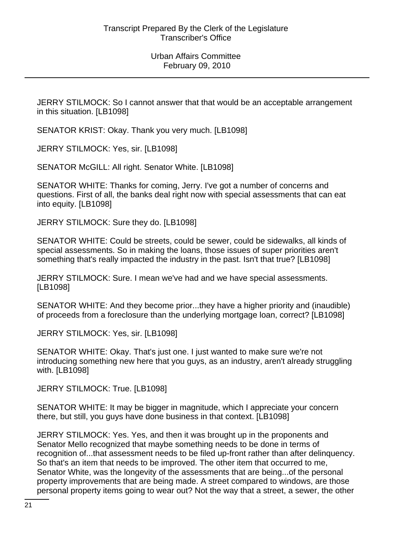JERRY STILMOCK: So I cannot answer that that would be an acceptable arrangement in this situation. [LB1098]

SENATOR KRIST: Okay. Thank you very much. [LB1098]

JERRY STILMOCK: Yes, sir. [LB1098]

SENATOR McGILL: All right. Senator White. [LB1098]

SENATOR WHITE: Thanks for coming, Jerry. I've got a number of concerns and questions. First of all, the banks deal right now with special assessments that can eat into equity. [LB1098]

JERRY STILMOCK: Sure they do. [LB1098]

SENATOR WHITE: Could be streets, could be sewer, could be sidewalks, all kinds of special assessments. So in making the loans, those issues of super priorities aren't something that's really impacted the industry in the past. Isn't that true? [LB1098]

JERRY STILMOCK: Sure. I mean we've had and we have special assessments. [LB1098]

SENATOR WHITE: And they become prior...they have a higher priority and (inaudible) of proceeds from a foreclosure than the underlying mortgage loan, correct? [LB1098]

JERRY STILMOCK: Yes, sir. [LB1098]

SENATOR WHITE: Okay. That's just one. I just wanted to make sure we're not introducing something new here that you guys, as an industry, aren't already struggling with. [LB1098]

JERRY STILMOCK: True. [LB1098]

SENATOR WHITE: It may be bigger in magnitude, which I appreciate your concern there, but still, you guys have done business in that context. [LB1098]

JERRY STILMOCK: Yes. Yes, and then it was brought up in the proponents and Senator Mello recognized that maybe something needs to be done in terms of recognition of...that assessment needs to be filed up-front rather than after delinquency. So that's an item that needs to be improved. The other item that occurred to me, Senator White, was the longevity of the assessments that are being...of the personal property improvements that are being made. A street compared to windows, are those personal property items going to wear out? Not the way that a street, a sewer, the other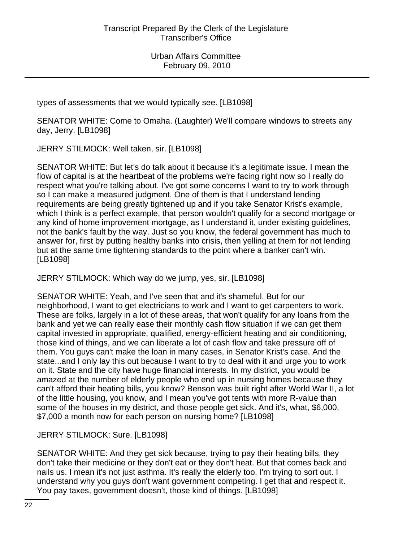types of assessments that we would typically see. [LB1098]

SENATOR WHITE: Come to Omaha. (Laughter) We'll compare windows to streets any day, Jerry. [LB1098]

JERRY STILMOCK: Well taken, sir. [LB1098]

SENATOR WHITE: But let's do talk about it because it's a legitimate issue. I mean the flow of capital is at the heartbeat of the problems we're facing right now so I really do respect what you're talking about. I've got some concerns I want to try to work through so I can make a measured judgment. One of them is that I understand lending requirements are being greatly tightened up and if you take Senator Krist's example, which I think is a perfect example, that person wouldn't qualify for a second mortgage or any kind of home improvement mortgage, as I understand it, under existing guidelines, not the bank's fault by the way. Just so you know, the federal government has much to answer for, first by putting healthy banks into crisis, then yelling at them for not lending but at the same time tightening standards to the point where a banker can't win. [LB1098]

JERRY STILMOCK: Which way do we jump, yes, sir. [LB1098]

SENATOR WHITE: Yeah, and I've seen that and it's shameful. But for our neighborhood, I want to get electricians to work and I want to get carpenters to work. These are folks, largely in a lot of these areas, that won't qualify for any loans from the bank and yet we can really ease their monthly cash flow situation if we can get them capital invested in appropriate, qualified, energy-efficient heating and air conditioning, those kind of things, and we can liberate a lot of cash flow and take pressure off of them. You guys can't make the loan in many cases, in Senator Krist's case. And the state...and I only lay this out because I want to try to deal with it and urge you to work on it. State and the city have huge financial interests. In my district, you would be amazed at the number of elderly people who end up in nursing homes because they can't afford their heating bills, you know? Benson was built right after World War II, a lot of the little housing, you know, and I mean you've got tents with more R-value than some of the houses in my district, and those people get sick. And it's, what, \$6,000, \$7,000 a month now for each person on nursing home? [LB1098]

JERRY STILMOCK: Sure. [LB1098]

SENATOR WHITE: And they get sick because, trying to pay their heating bills, they don't take their medicine or they don't eat or they don't heat. But that comes back and nails us. I mean it's not just asthma. It's really the elderly too. I'm trying to sort out. I understand why you guys don't want government competing. I get that and respect it. You pay taxes, government doesn't, those kind of things. [LB1098]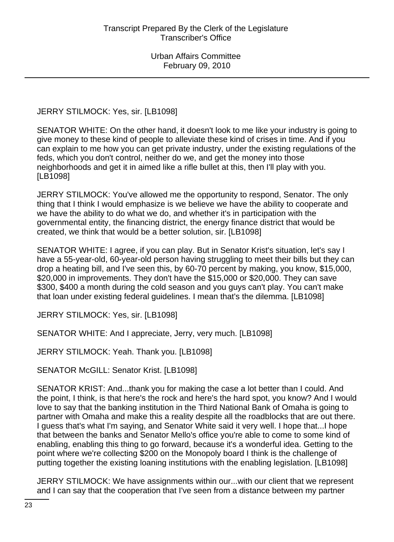JERRY STILMOCK: Yes, sir. [LB1098]

SENATOR WHITE: On the other hand, it doesn't look to me like your industry is going to give money to these kind of people to alleviate these kind of crises in time. And if you can explain to me how you can get private industry, under the existing regulations of the feds, which you don't control, neither do we, and get the money into those neighborhoods and get it in aimed like a rifle bullet at this, then I'll play with you. [LB1098]

JERRY STILMOCK: You've allowed me the opportunity to respond, Senator. The only thing that I think I would emphasize is we believe we have the ability to cooperate and we have the ability to do what we do, and whether it's in participation with the governmental entity, the financing district, the energy finance district that would be created, we think that would be a better solution, sir. [LB1098]

SENATOR WHITE: I agree, if you can play. But in Senator Krist's situation, let's say I have a 55-year-old, 60-year-old person having struggling to meet their bills but they can drop a heating bill, and I've seen this, by 60-70 percent by making, you know, \$15,000, \$20,000 in improvements. They don't have the \$15,000 or \$20,000. They can save \$300, \$400 a month during the cold season and you guys can't play. You can't make that loan under existing federal guidelines. I mean that's the dilemma. [LB1098]

JERRY STILMOCK: Yes, sir. [LB1098]

SENATOR WHITE: And I appreciate, Jerry, very much. [LB1098]

JERRY STILMOCK: Yeah. Thank you. [LB1098]

SENATOR McGILL: Senator Krist. [LB1098]

SENATOR KRIST: And...thank you for making the case a lot better than I could. And the point, I think, is that here's the rock and here's the hard spot, you know? And I would love to say that the banking institution in the Third National Bank of Omaha is going to partner with Omaha and make this a reality despite all the roadblocks that are out there. I guess that's what I'm saying, and Senator White said it very well. I hope that...I hope that between the banks and Senator Mello's office you're able to come to some kind of enabling, enabling this thing to go forward, because it's a wonderful idea. Getting to the point where we're collecting \$200 on the Monopoly board I think is the challenge of putting together the existing loaning institutions with the enabling legislation. [LB1098]

JERRY STILMOCK: We have assignments within our...with our client that we represent and I can say that the cooperation that I've seen from a distance between my partner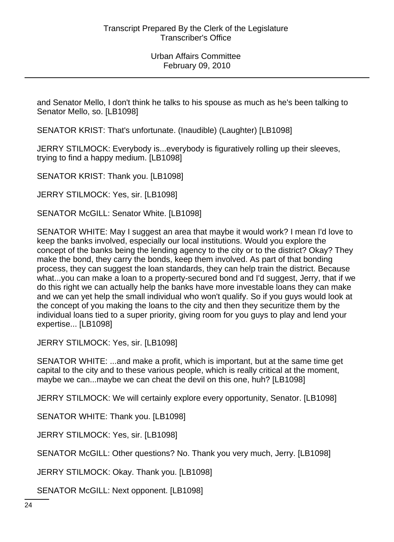and Senator Mello, I don't think he talks to his spouse as much as he's been talking to Senator Mello, so. [LB1098]

SENATOR KRIST: That's unfortunate. (Inaudible) (Laughter) [LB1098]

JERRY STILMOCK: Everybody is...everybody is figuratively rolling up their sleeves, trying to find a happy medium. [LB1098]

SENATOR KRIST: Thank you. [LB1098]

JERRY STILMOCK: Yes, sir. [LB1098]

SENATOR McGILL: Senator White. [LB1098]

SENATOR WHITE: May I suggest an area that maybe it would work? I mean I'd love to keep the banks involved, especially our local institutions. Would you explore the concept of the banks being the lending agency to the city or to the district? Okay? They make the bond, they carry the bonds, keep them involved. As part of that bonding process, they can suggest the loan standards, they can help train the district. Because what...you can make a loan to a property-secured bond and I'd suggest, Jerry, that if we do this right we can actually help the banks have more investable loans they can make and we can yet help the small individual who won't qualify. So if you guys would look at the concept of you making the loans to the city and then they securitize them by the individual loans tied to a super priority, giving room for you guys to play and lend your expertise... [LB1098]

JERRY STILMOCK: Yes, sir. [LB1098]

SENATOR WHITE: ...and make a profit, which is important, but at the same time get capital to the city and to these various people, which is really critical at the moment, maybe we can...maybe we can cheat the devil on this one, huh? [LB1098]

JERRY STILMOCK: We will certainly explore every opportunity, Senator. [LB1098]

SENATOR WHITE: Thank you. [LB1098]

JERRY STILMOCK: Yes, sir. [LB1098]

SENATOR McGILL: Other questions? No. Thank you very much, Jerry. [LB1098]

JERRY STILMOCK: Okay. Thank you. [LB1098]

SENATOR McGILL: Next opponent. [LB1098]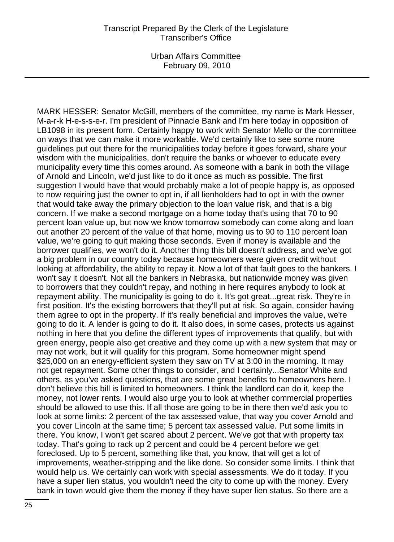MARK HESSER: Senator McGill, members of the committee, my name is Mark Hesser, M-a-r-k H-e-s-s-e-r. I'm president of Pinnacle Bank and I'm here today in opposition of LB1098 in its present form. Certainly happy to work with Senator Mello or the committee on ways that we can make it more workable. We'd certainly like to see some more guidelines put out there for the municipalities today before it goes forward, share your wisdom with the municipalities, don't require the banks or whoever to educate every municipality every time this comes around. As someone with a bank in both the village of Arnold and Lincoln, we'd just like to do it once as much as possible. The first suggestion I would have that would probably make a lot of people happy is, as opposed to now requiring just the owner to opt in, if all lienholders had to opt in with the owner that would take away the primary objection to the loan value risk, and that is a big concern. If we make a second mortgage on a home today that's using that 70 to 90 percent loan value up, but now we know tomorrow somebody can come along and loan out another 20 percent of the value of that home, moving us to 90 to 110 percent loan value, we're going to quit making those seconds. Even if money is available and the borrower qualifies, we won't do it. Another thing this bill doesn't address, and we've got a big problem in our country today because homeowners were given credit without looking at affordability, the ability to repay it. Now a lot of that fault goes to the bankers. I won't say it doesn't. Not all the bankers in Nebraska, but nationwide money was given to borrowers that they couldn't repay, and nothing in here requires anybody to look at repayment ability. The municipality is going to do it. It's got great...great risk. They're in first position. It's the existing borrowers that they'll put at risk. So again, consider having them agree to opt in the property. If it's really beneficial and improves the value, we're going to do it. A lender is going to do it. It also does, in some cases, protects us against nothing in here that you define the different types of improvements that qualify, but with green energy, people also get creative and they come up with a new system that may or may not work, but it will qualify for this program. Some homeowner might spend \$25,000 on an energy-efficient system they saw on TV at 3:00 in the morning. It may not get repayment. Some other things to consider, and I certainly...Senator White and others, as you've asked questions, that are some great benefits to homeowners here. I don't believe this bill is limited to homeowners. I think the landlord can do it, keep the money, not lower rents. I would also urge you to look at whether commercial properties should be allowed to use this. If all those are going to be in there then we'd ask you to look at some limits: 2 percent of the tax assessed value, that way you cover Arnold and you cover Lincoln at the same time; 5 percent tax assessed value. Put some limits in there. You know, I won't get scared about 2 percent. We've got that with property tax today. That's going to rack up 2 percent and could be 4 percent before we get foreclosed. Up to 5 percent, something like that, you know, that will get a lot of improvements, weather-stripping and the like done. So consider some limits. I think that would help us. We certainly can work with special assessments. We do it today. If you have a super lien status, you wouldn't need the city to come up with the money. Every bank in town would give them the money if they have super lien status. So there are a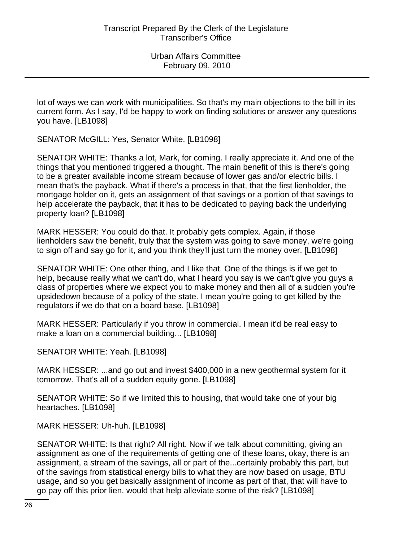lot of ways we can work with municipalities. So that's my main objections to the bill in its current form. As I say, I'd be happy to work on finding solutions or answer any questions you have. [LB1098]

SENATOR McGILL: Yes, Senator White. [LB1098]

SENATOR WHITE: Thanks a lot, Mark, for coming. I really appreciate it. And one of the things that you mentioned triggered a thought. The main benefit of this is there's going to be a greater available income stream because of lower gas and/or electric bills. I mean that's the payback. What if there's a process in that, that the first lienholder, the mortgage holder on it, gets an assignment of that savings or a portion of that savings to help accelerate the payback, that it has to be dedicated to paying back the underlying property loan? [LB1098]

MARK HESSER: You could do that. It probably gets complex. Again, if those lienholders saw the benefit, truly that the system was going to save money, we're going to sign off and say go for it, and you think they'll just turn the money over. [LB1098]

SENATOR WHITE: One other thing, and I like that. One of the things is if we get to help, because really what we can't do, what I heard you say is we can't give you guys a class of properties where we expect you to make money and then all of a sudden you're upsidedown because of a policy of the state. I mean you're going to get killed by the regulators if we do that on a board base. [LB1098]

MARK HESSER: Particularly if you throw in commercial. I mean it'd be real easy to make a loan on a commercial building... [LB1098]

SENATOR WHITE: Yeah. [LB1098]

MARK HESSER: ...and go out and invest \$400,000 in a new geothermal system for it tomorrow. That's all of a sudden equity gone. [LB1098]

SENATOR WHITE: So if we limited this to housing, that would take one of your big heartaches. [LB1098]

MARK HESSER: Uh-huh. [LB1098]

SENATOR WHITE: Is that right? All right. Now if we talk about committing, giving an assignment as one of the requirements of getting one of these loans, okay, there is an assignment, a stream of the savings, all or part of the...certainly probably this part, but of the savings from statistical energy bills to what they are now based on usage, BTU usage, and so you get basically assignment of income as part of that, that will have to go pay off this prior lien, would that help alleviate some of the risk? [LB1098]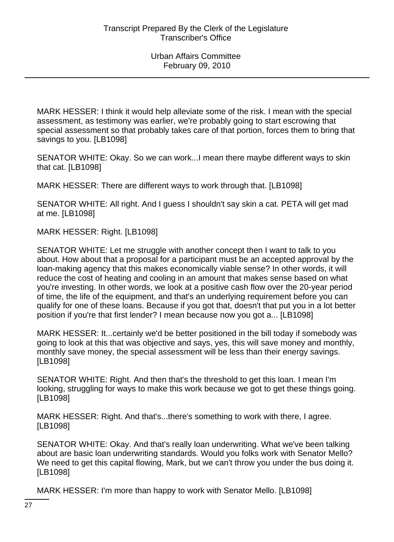MARK HESSER: I think it would help alleviate some of the risk. I mean with the special assessment, as testimony was earlier, we're probably going to start escrowing that special assessment so that probably takes care of that portion, forces them to bring that savings to you. [LB1098]

SENATOR WHITE: Okay. So we can work...I mean there maybe different ways to skin that cat. [LB1098]

MARK HESSER: There are different ways to work through that. [LB1098]

SENATOR WHITE: All right. And I guess I shouldn't say skin a cat. PETA will get mad at me. [LB1098]

MARK HESSER: Right. [LB1098]

SENATOR WHITE: Let me struggle with another concept then I want to talk to you about. How about that a proposal for a participant must be an accepted approval by the loan-making agency that this makes economically viable sense? In other words, it will reduce the cost of heating and cooling in an amount that makes sense based on what you're investing. In other words, we look at a positive cash flow over the 20-year period of time, the life of the equipment, and that's an underlying requirement before you can qualify for one of these loans. Because if you got that, doesn't that put you in a lot better position if you're that first lender? I mean because now you got a... [LB1098]

MARK HESSER: It...certainly we'd be better positioned in the bill today if somebody was going to look at this that was objective and says, yes, this will save money and monthly, monthly save money, the special assessment will be less than their energy savings. [LB1098]

SENATOR WHITE: Right. And then that's the threshold to get this loan. I mean I'm looking, struggling for ways to make this work because we got to get these things going. [LB1098]

MARK HESSER: Right. And that's...there's something to work with there, I agree. [LB1098]

SENATOR WHITE: Okay. And that's really loan underwriting. What we've been talking about are basic loan underwriting standards. Would you folks work with Senator Mello? We need to get this capital flowing, Mark, but we can't throw you under the bus doing it. [LB1098]

MARK HESSER: I'm more than happy to work with Senator Mello. [LB1098]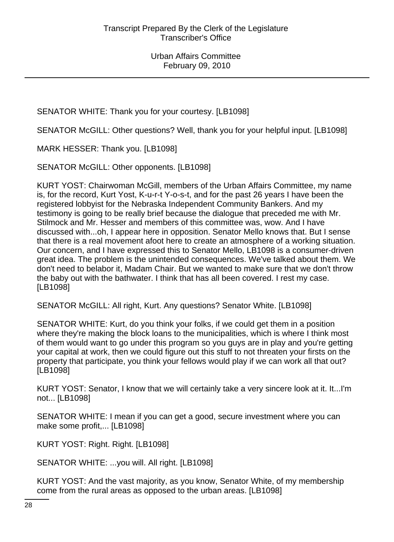SENATOR WHITE: Thank you for your courtesy. [LB1098]

SENATOR McGILL: Other questions? Well, thank you for your helpful input. [LB1098]

MARK HESSER: Thank you. [LB1098]

SENATOR McGILL: Other opponents. [LB1098]

KURT YOST: Chairwoman McGill, members of the Urban Affairs Committee, my name is, for the record, Kurt Yost, K-u-r-t Y-o-s-t, and for the past 26 years I have been the registered lobbyist for the Nebraska Independent Community Bankers. And my testimony is going to be really brief because the dialogue that preceded me with Mr. Stilmock and Mr. Hesser and members of this committee was, wow. And I have discussed with...oh, I appear here in opposition. Senator Mello knows that. But I sense that there is a real movement afoot here to create an atmosphere of a working situation. Our concern, and I have expressed this to Senator Mello, LB1098 is a consumer-driven great idea. The problem is the unintended consequences. We've talked about them. We don't need to belabor it, Madam Chair. But we wanted to make sure that we don't throw the baby out with the bathwater. I think that has all been covered. I rest my case. [LB1098]

SENATOR McGILL: All right, Kurt. Any questions? Senator White. [LB1098]

SENATOR WHITE: Kurt, do you think your folks, if we could get them in a position where they're making the block loans to the municipalities, which is where I think most of them would want to go under this program so you guys are in play and you're getting your capital at work, then we could figure out this stuff to not threaten your firsts on the property that participate, you think your fellows would play if we can work all that out? [LB1098]

KURT YOST: Senator, I know that we will certainly take a very sincere look at it. It...I'm not... [LB1098]

SENATOR WHITE: I mean if you can get a good, secure investment where you can make some profit,... [LB1098]

KURT YOST: Right. Right. [LB1098]

SENATOR WHITE: ...you will. All right. [LB1098]

KURT YOST: And the vast majority, as you know, Senator White, of my membership come from the rural areas as opposed to the urban areas. [LB1098]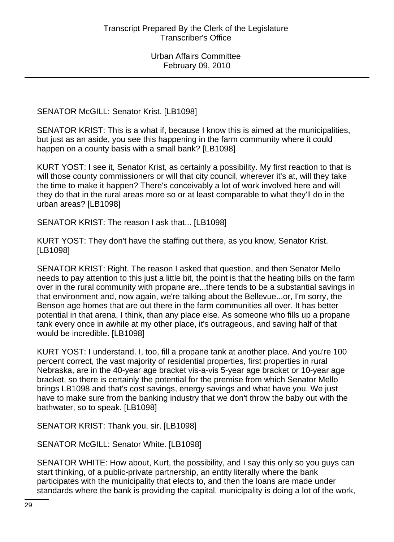SENATOR McGILL: Senator Krist. [LB1098]

SENATOR KRIST: This is a what if, because I know this is aimed at the municipalities, but just as an aside, you see this happening in the farm community where it could happen on a county basis with a small bank? [LB1098]

KURT YOST: I see it, Senator Krist, as certainly a possibility. My first reaction to that is will those county commissioners or will that city council, wherever it's at, will they take the time to make it happen? There's conceivably a lot of work involved here and will they do that in the rural areas more so or at least comparable to what they'll do in the urban areas? [LB1098]

SENATOR KRIST: The reason I ask that... [LB1098]

KURT YOST: They don't have the staffing out there, as you know, Senator Krist. [LB1098]

SENATOR KRIST: Right. The reason I asked that question, and then Senator Mello needs to pay attention to this just a little bit, the point is that the heating bills on the farm over in the rural community with propane are...there tends to be a substantial savings in that environment and, now again, we're talking about the Bellevue...or, I'm sorry, the Benson age homes that are out there in the farm communities all over. It has better potential in that arena, I think, than any place else. As someone who fills up a propane tank every once in awhile at my other place, it's outrageous, and saving half of that would be incredible. [LB1098]

KURT YOST: I understand. I, too, fill a propane tank at another place. And you're 100 percent correct, the vast majority of residential properties, first properties in rural Nebraska, are in the 40-year age bracket vis-a-vis 5-year age bracket or 10-year age bracket, so there is certainly the potential for the premise from which Senator Mello brings LB1098 and that's cost savings, energy savings and what have you. We just have to make sure from the banking industry that we don't throw the baby out with the bathwater, so to speak. [LB1098]

SENATOR KRIST: Thank you, sir. [LB1098]

SENATOR McGILL: Senator White. [LB1098]

SENATOR WHITE: How about, Kurt, the possibility, and I say this only so you guys can start thinking, of a public-private partnership, an entity literally where the bank participates with the municipality that elects to, and then the loans are made under standards where the bank is providing the capital, municipality is doing a lot of the work,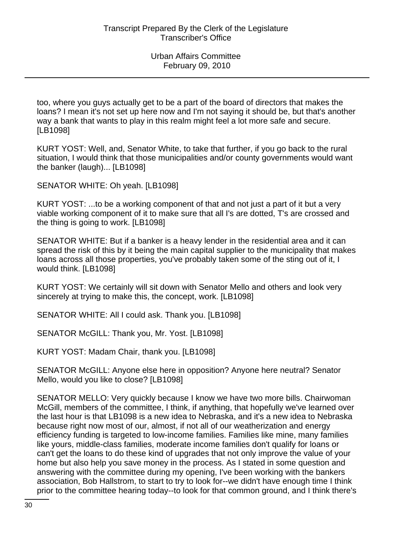too, where you guys actually get to be a part of the board of directors that makes the loans? I mean it's not set up here now and I'm not saying it should be, but that's another way a bank that wants to play in this realm might feel a lot more safe and secure. [LB1098]

KURT YOST: Well, and, Senator White, to take that further, if you go back to the rural situation, I would think that those municipalities and/or county governments would want the banker (laugh)... [LB1098]

SENATOR WHITE: Oh yeah. [LB1098]

KURT YOST: ...to be a working component of that and not just a part of it but a very viable working component of it to make sure that all I's are dotted, T's are crossed and the thing is going to work. [LB1098]

SENATOR WHITE: But if a banker is a heavy lender in the residential area and it can spread the risk of this by it being the main capital supplier to the municipality that makes loans across all those properties, you've probably taken some of the sting out of it, I would think. [LB1098]

KURT YOST: We certainly will sit down with Senator Mello and others and look very sincerely at trying to make this, the concept, work. [LB1098]

SENATOR WHITE: All I could ask. Thank you. [LB1098]

SENATOR McGILL: Thank you, Mr. Yost. [LB1098]

KURT YOST: Madam Chair, thank you. [LB1098]

SENATOR McGILL: Anyone else here in opposition? Anyone here neutral? Senator Mello, would you like to close? [LB1098]

SENATOR MELLO: Very quickly because I know we have two more bills. Chairwoman McGill, members of the committee, I think, if anything, that hopefully we've learned over the last hour is that LB1098 is a new idea to Nebraska, and it's a new idea to Nebraska because right now most of our, almost, if not all of our weatherization and energy efficiency funding is targeted to low-income families. Families like mine, many families like yours, middle-class families, moderate income families don't qualify for loans or can't get the loans to do these kind of upgrades that not only improve the value of your home but also help you save money in the process. As I stated in some question and answering with the committee during my opening, I've been working with the bankers association, Bob Hallstrom, to start to try to look for--we didn't have enough time I think prior to the committee hearing today--to look for that common ground, and I think there's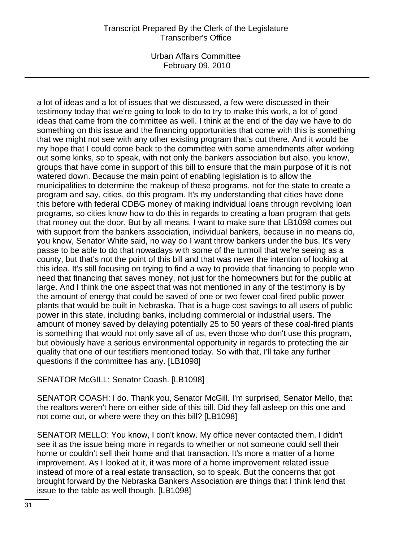Urban Affairs Committee February 09, 2010

a lot of ideas and a lot of issues that we discussed, a few were discussed in their testimony today that we're going to look to do to try to make this work, a lot of good ideas that came from the committee as well. I think at the end of the day we have to do something on this issue and the financing opportunities that come with this is something that we might not see with any other existing program that's out there. And it would be my hope that I could come back to the committee with some amendments after working out some kinks, so to speak, with not only the bankers association but also, you know, groups that have come in support of this bill to ensure that the main purpose of it is not watered down. Because the main point of enabling legislation is to allow the municipalities to determine the makeup of these programs, not for the state to create a program and say, cities, do this program. It's my understanding that cities have done this before with federal CDBG money of making individual loans through revolving loan programs, so cities know how to do this in regards to creating a loan program that gets that money out the door. But by all means, I want to make sure that LB1098 comes out with support from the bankers association, individual bankers, because in no means do, you know, Senator White said, no way do I want throw bankers under the bus. It's very passe to be able to do that nowadays with some of the turmoil that we're seeing as a county, but that's not the point of this bill and that was never the intention of looking at this idea. It's still focusing on trying to find a way to provide that financing to people who need that financing that saves money, not just for the homeowners but for the public at large. And I think the one aspect that was not mentioned in any of the testimony is by the amount of energy that could be saved of one or two fewer coal-fired public power plants that would be built in Nebraska. That is a huge cost savings to all users of public power in this state, including banks, including commercial or industrial users. The amount of money saved by delaying potentially 25 to 50 years of these coal-fired plants is something that would not only save all of us, even those who don't use this program, but obviously have a serious environmental opportunity in regards to protecting the air quality that one of our testifiers mentioned today. So with that, I'll take any further questions if the committee has any. [LB1098]

#### SENATOR McGILL: Senator Coash. [LB1098]

SENATOR COASH: I do. Thank you, Senator McGill. I'm surprised, Senator Mello, that the realtors weren't here on either side of this bill. Did they fall asleep on this one and not come out, or where were they on this bill? [LB1098]

SENATOR MELLO: You know, I don't know. My office never contacted them. I didn't see it as the issue being more in regards to whether or not someone could sell their home or couldn't sell their home and that transaction. It's more a matter of a home improvement. As I looked at it, it was more of a home improvement related issue instead of more of a real estate transaction, so to speak. But the concerns that got brought forward by the Nebraska Bankers Association are things that I think lend that issue to the table as well though. [LB1098]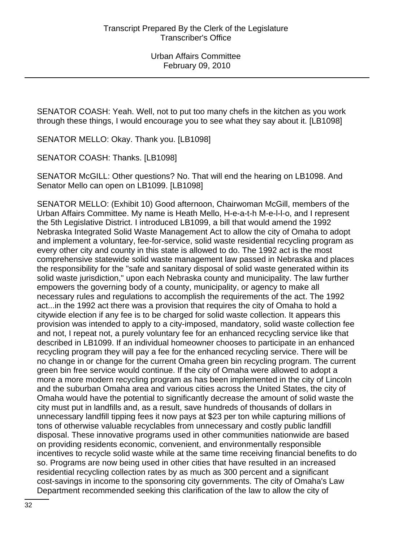SENATOR COASH: Yeah. Well, not to put too many chefs in the kitchen as you work through these things, I would encourage you to see what they say about it. [LB1098]

SENATOR MELLO: Okay. Thank you. [LB1098]

SENATOR COASH: Thanks. [LB1098]

SENATOR McGILL: Other questions? No. That will end the hearing on LB1098. And Senator Mello can open on LB1099. [LB1098]

SENATOR MELLO: (Exhibit 10) Good afternoon, Chairwoman McGill, members of the Urban Affairs Committee. My name is Heath Mello, H-e-a-t-h M-e-l-l-o, and I represent the 5th Legislative District. I introduced LB1099, a bill that would amend the 1992 Nebraska Integrated Solid Waste Management Act to allow the city of Omaha to adopt and implement a voluntary, fee-for-service, solid waste residential recycling program as every other city and county in this state is allowed to do. The 1992 act is the most comprehensive statewide solid waste management law passed in Nebraska and places the responsibility for the "safe and sanitary disposal of solid waste generated within its solid waste jurisdiction," upon each Nebraska county and municipality. The law further empowers the governing body of a county, municipality, or agency to make all necessary rules and regulations to accomplish the requirements of the act. The 1992 act...in the 1992 act there was a provision that requires the city of Omaha to hold a citywide election if any fee is to be charged for solid waste collection. It appears this provision was intended to apply to a city-imposed, mandatory, solid waste collection fee and not, I repeat not, a purely voluntary fee for an enhanced recycling service like that described in LB1099. If an individual homeowner chooses to participate in an enhanced recycling program they will pay a fee for the enhanced recycling service. There will be no change in or change for the current Omaha green bin recycling program. The current green bin free service would continue. If the city of Omaha were allowed to adopt a more a more modern recycling program as has been implemented in the city of Lincoln and the suburban Omaha area and various cities across the United States, the city of Omaha would have the potential to significantly decrease the amount of solid waste the city must put in landfills and, as a result, save hundreds of thousands of dollars in unnecessary landfill tipping fees it now pays at \$23 per ton while capturing millions of tons of otherwise valuable recyclables from unnecessary and costly public landfill disposal. These innovative programs used in other communities nationwide are based on providing residents economic, convenient, and environmentally responsible incentives to recycle solid waste while at the same time receiving financial benefits to do so. Programs are now being used in other cities that have resulted in an increased residential recycling collection rates by as much as 300 percent and a significant cost-savings in income to the sponsoring city governments. The city of Omaha's Law Department recommended seeking this clarification of the law to allow the city of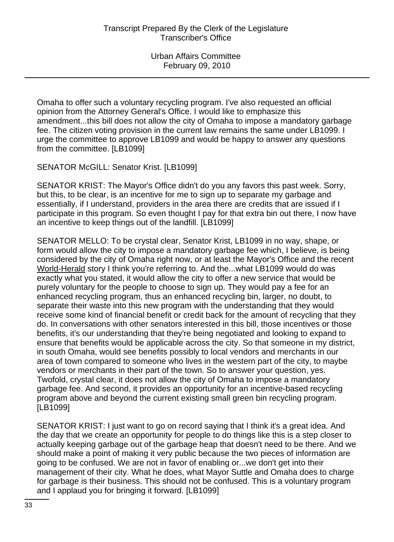Omaha to offer such a voluntary recycling program. I've also requested an official opinion from the Attorney General's Office. I would like to emphasize this amendment...this bill does not allow the city of Omaha to impose a mandatory garbage fee. The citizen voting provision in the current law remains the same under LB1099. I urge the committee to approve LB1099 and would be happy to answer any questions from the committee. [LB1099]

SENATOR McGILL: Senator Krist. [LB1099]

SENATOR KRIST: The Mayor's Office didn't do you any favors this past week. Sorry, but this, to be clear, is an incentive for me to sign up to separate my garbage and essentially, if I understand, providers in the area there are credits that are issued if I participate in this program. So even thought I pay for that extra bin out there, I now have an incentive to keep things out of the landfill. [LB1099]

SENATOR MELLO: To be crystal clear, Senator Krist, LB1099 in no way, shape, or form would allow the city to impose a mandatory garbage fee which, I believe, is being considered by the city of Omaha right now, or at least the Mayor's Office and the recent World-Herald story I think you're referring to. And the...what LB1099 would do was exactly what you stated, it would allow the city to offer a new service that would be purely voluntary for the people to choose to sign up. They would pay a fee for an enhanced recycling program, thus an enhanced recycling bin, larger, no doubt, to separate their waste into this new program with the understanding that they would receive some kind of financial benefit or credit back for the amount of recycling that they do. In conversations with other senators interested in this bill, those incentives or those benefits, it's our understanding that they're being negotiated and looking to expand to ensure that benefits would be applicable across the city. So that someone in my district, in south Omaha, would see benefits possibly to local vendors and merchants in our area of town compared to someone who lives in the western part of the city, to maybe vendors or merchants in their part of the town. So to answer your question, yes. Twofold, crystal clear, it does not allow the city of Omaha to impose a mandatory garbage fee. And second, it provides an opportunity for an incentive-based recycling program above and beyond the current existing small green bin recycling program. [LB1099]

SENATOR KRIST: I just want to go on record saying that I think it's a great idea. And the day that we create an opportunity for people to do things like this is a step closer to actually keeping garbage out of the garbage heap that doesn't need to be there. And we should make a point of making it very public because the two pieces of information are going to be confused. We are not in favor of enabling or...we don't get into their management of their city. What he does, what Mayor Suttle and Omaha does to charge for garbage is their business. This should not be confused. This is a voluntary program and I applaud you for bringing it forward. [LB1099]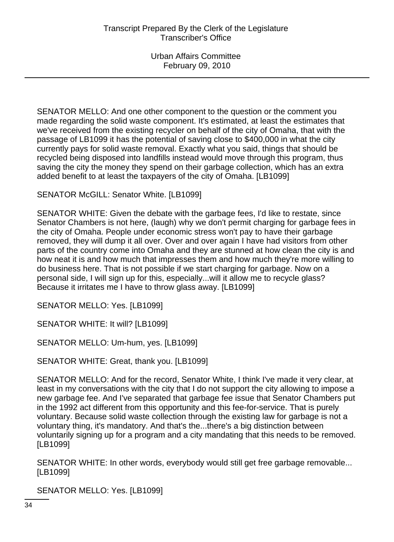SENATOR MELLO: And one other component to the question or the comment you made regarding the solid waste component. It's estimated, at least the estimates that we've received from the existing recycler on behalf of the city of Omaha, that with the passage of LB1099 it has the potential of saving close to \$400,000 in what the city currently pays for solid waste removal. Exactly what you said, things that should be recycled being disposed into landfills instead would move through this program, thus saving the city the money they spend on their garbage collection, which has an extra added benefit to at least the taxpayers of the city of Omaha. [LB1099]

SENATOR McGILL: Senator White. [LB1099]

SENATOR WHITE: Given the debate with the garbage fees, I'd like to restate, since Senator Chambers is not here, (laugh) why we don't permit charging for garbage fees in the city of Omaha. People under economic stress won't pay to have their garbage removed, they will dump it all over. Over and over again I have had visitors from other parts of the country come into Omaha and they are stunned at how clean the city is and how neat it is and how much that impresses them and how much they're more willing to do business here. That is not possible if we start charging for garbage. Now on a personal side, I will sign up for this, especially...will it allow me to recycle glass? Because it irritates me I have to throw glass away. [LB1099]

SENATOR MELLO: Yes. [LB1099]

SENATOR WHITE: It will? [LB1099]

SENATOR MELLO: Um-hum, yes. [LB1099]

SENATOR WHITE: Great, thank you. [LB1099]

SENATOR MELLO: And for the record, Senator White, I think I've made it very clear, at least in my conversations with the city that I do not support the city allowing to impose a new garbage fee. And I've separated that garbage fee issue that Senator Chambers put in the 1992 act different from this opportunity and this fee-for-service. That is purely voluntary. Because solid waste collection through the existing law for garbage is not a voluntary thing, it's mandatory. And that's the...there's a big distinction between voluntarily signing up for a program and a city mandating that this needs to be removed. [LB1099]

SENATOR WHITE: In other words, everybody would still get free garbage removable... [LB1099]

SENATOR MELLO: Yes. [LB1099]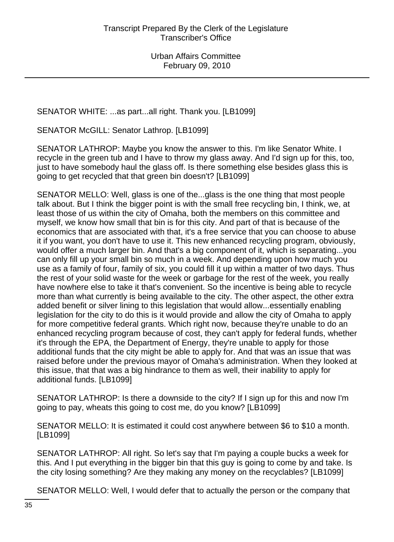SENATOR WHITE: ...as part...all right. Thank you. [LB1099]

SENATOR McGILL: Senator Lathrop. [LB1099]

SENATOR LATHROP: Maybe you know the answer to this. I'm like Senator White. I recycle in the green tub and I have to throw my glass away. And I'd sign up for this, too, just to have somebody haul the glass off. Is there something else besides glass this is going to get recycled that that green bin doesn't? [LB1099]

SENATOR MELLO: Well, glass is one of the...glass is the one thing that most people talk about. But I think the bigger point is with the small free recycling bin, I think, we, at least those of us within the city of Omaha, both the members on this committee and myself, we know how small that bin is for this city. And part of that is because of the economics that are associated with that, it's a free service that you can choose to abuse it if you want, you don't have to use it. This new enhanced recycling program, obviously, would offer a much larger bin. And that's a big component of it, which is separating...you can only fill up your small bin so much in a week. And depending upon how much you use as a family of four, family of six, you could fill it up within a matter of two days. Thus the rest of your solid waste for the week or garbage for the rest of the week, you really have nowhere else to take it that's convenient. So the incentive is being able to recycle more than what currently is being available to the city. The other aspect, the other extra added benefit or silver lining to this legislation that would allow...essentially enabling legislation for the city to do this is it would provide and allow the city of Omaha to apply for more competitive federal grants. Which right now, because they're unable to do an enhanced recycling program because of cost, they can't apply for federal funds, whether it's through the EPA, the Department of Energy, they're unable to apply for those additional funds that the city might be able to apply for. And that was an issue that was raised before under the previous mayor of Omaha's administration. When they looked at this issue, that that was a big hindrance to them as well, their inability to apply for additional funds. [LB1099]

SENATOR LATHROP: Is there a downside to the city? If I sign up for this and now I'm going to pay, wheats this going to cost me, do you know? [LB1099]

SENATOR MELLO: It is estimated it could cost anywhere between \$6 to \$10 a month. [LB1099]

SENATOR LATHROP: All right. So let's say that I'm paying a couple bucks a week for this. And I put everything in the bigger bin that this guy is going to come by and take. Is the city losing something? Are they making any money on the recyclables? [LB1099]

SENATOR MELLO: Well, I would defer that to actually the person or the company that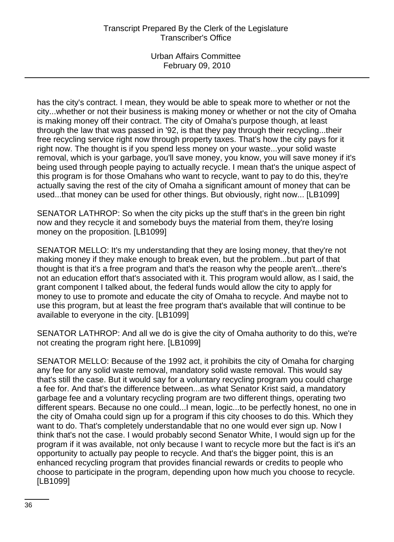has the city's contract. I mean, they would be able to speak more to whether or not the city...whether or not their business is making money or whether or not the city of Omaha is making money off their contract. The city of Omaha's purpose though, at least through the law that was passed in '92, is that they pay through their recycling...their free recycling service right now through property taxes. That's how the city pays for it right now. The thought is if you spend less money on your waste...your solid waste removal, which is your garbage, you'll save money, you know, you will save money if it's being used through people paying to actually recycle. I mean that's the unique aspect of this program is for those Omahans who want to recycle, want to pay to do this, they're actually saving the rest of the city of Omaha a significant amount of money that can be used...that money can be used for other things. But obviously, right now... [LB1099]

SENATOR LATHROP: So when the city picks up the stuff that's in the green bin right now and they recycle it and somebody buys the material from them, they're losing money on the proposition. [LB1099]

SENATOR MELLO: It's my understanding that they are losing money, that they're not making money if they make enough to break even, but the problem...but part of that thought is that it's a free program and that's the reason why the people aren't...there's not an education effort that's associated with it. This program would allow, as I said, the grant component I talked about, the federal funds would allow the city to apply for money to use to promote and educate the city of Omaha to recycle. And maybe not to use this program, but at least the free program that's available that will continue to be available to everyone in the city. [LB1099]

SENATOR LATHROP: And all we do is give the city of Omaha authority to do this, we're not creating the program right here. [LB1099]

SENATOR MELLO: Because of the 1992 act, it prohibits the city of Omaha for charging any fee for any solid waste removal, mandatory solid waste removal. This would say that's still the case. But it would say for a voluntary recycling program you could charge a fee for. And that's the difference between...as what Senator Krist said, a mandatory garbage fee and a voluntary recycling program are two different things, operating two different spears. Because no one could...I mean, logic...to be perfectly honest, no one in the city of Omaha could sign up for a program if this city chooses to do this. Which they want to do. That's completely understandable that no one would ever sign up. Now I think that's not the case. I would probably second Senator White, I would sign up for the program if it was available, not only because I want to recycle more but the fact is it's an opportunity to actually pay people to recycle. And that's the bigger point, this is an enhanced recycling program that provides financial rewards or credits to people who choose to participate in the program, depending upon how much you choose to recycle. [LB1099]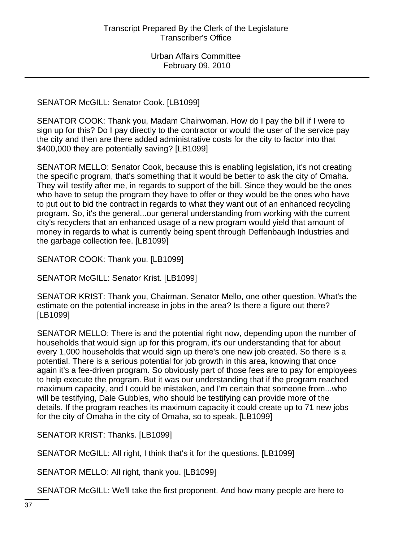SENATOR McGILL: Senator Cook. [LB1099]

SENATOR COOK: Thank you, Madam Chairwoman. How do I pay the bill if I were to sign up for this? Do I pay directly to the contractor or would the user of the service pay the city and then are there added administrative costs for the city to factor into that \$400,000 they are potentially saving? [LB1099]

SENATOR MELLO: Senator Cook, because this is enabling legislation, it's not creating the specific program, that's something that it would be better to ask the city of Omaha. They will testify after me, in regards to support of the bill. Since they would be the ones who have to setup the program they have to offer or they would be the ones who have to put out to bid the contract in regards to what they want out of an enhanced recycling program. So, it's the general...our general understanding from working with the current city's recyclers that an enhanced usage of a new program would yield that amount of money in regards to what is currently being spent through Deffenbaugh Industries and the garbage collection fee. [LB1099]

SENATOR COOK: Thank you. [LB1099]

SENATOR McGILL: Senator Krist. [LB1099]

SENATOR KRIST: Thank you, Chairman. Senator Mello, one other question. What's the estimate on the potential increase in jobs in the area? Is there a figure out there? [LB1099]

SENATOR MELLO: There is and the potential right now, depending upon the number of households that would sign up for this program, it's our understanding that for about every 1,000 households that would sign up there's one new job created. So there is a potential. There is a serious potential for job growth in this area, knowing that once again it's a fee-driven program. So obviously part of those fees are to pay for employees to help execute the program. But it was our understanding that if the program reached maximum capacity, and I could be mistaken, and I'm certain that someone from...who will be testifying, Dale Gubbles, who should be testifying can provide more of the details. If the program reaches its maximum capacity it could create up to 71 new jobs for the city of Omaha in the city of Omaha, so to speak. [LB1099]

SENATOR KRIST: Thanks. [LB1099]

SENATOR McGILL: All right, I think that's it for the questions. [LB1099]

SENATOR MELLO: All right, thank you. [LB1099]

SENATOR McGILL: We'll take the first proponent. And how many people are here to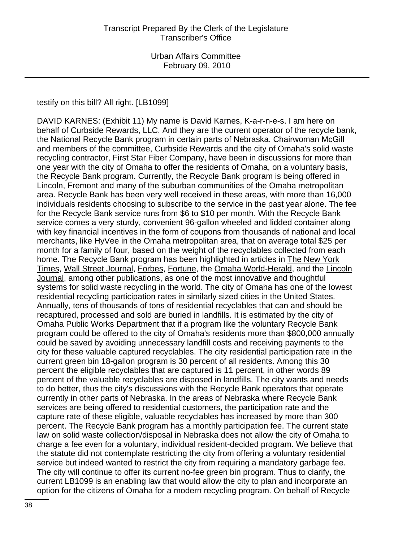testify on this bill? All right. [LB1099]

DAVID KARNES: (Exhibit 11) My name is David Karnes, K-a-r-n-e-s. I am here on behalf of Curbside Rewards, LLC. And they are the current operator of the recycle bank, the National Recycle Bank program in certain parts of Nebraska. Chairwoman McGill and members of the committee, Curbside Rewards and the city of Omaha's solid waste recycling contractor, First Star Fiber Company, have been in discussions for more than one year with the city of Omaha to offer the residents of Omaha, on a voluntary basis, the Recycle Bank program. Currently, the Recycle Bank program is being offered in Lincoln, Fremont and many of the suburban communities of the Omaha metropolitan area. Recycle Bank has been very well received in these areas, with more than 16,000 individuals residents choosing to subscribe to the service in the past year alone. The fee for the Recycle Bank service runs from \$6 to \$10 per month. With the Recycle Bank service comes a very sturdy, convenient 96-gallon wheeled and lidded container along with key financial incentives in the form of coupons from thousands of national and local merchants, like HyVee in the Omaha metropolitan area, that on average total \$25 per month for a family of four, based on the weight of the recyclables collected from each home. The Recycle Bank program has been highlighted in articles in The New York Times, Wall Street Journal, Forbes, Fortune, the Omaha World-Herald, and the Lincoln Journal, among other publications, as one of the most innovative and thoughtful systems for solid waste recycling in the world. The city of Omaha has one of the lowest residential recycling participation rates in similarly sized cities in the United States. Annually, tens of thousands of tons of residential recyclables that can and should be recaptured, processed and sold are buried in landfills. It is estimated by the city of Omaha Public Works Department that if a program like the voluntary Recycle Bank program could be offered to the city of Omaha's residents more than \$800,000 annually could be saved by avoiding unnecessary landfill costs and receiving payments to the city for these valuable captured recyclables. The city residential participation rate in the current green bin 18-gallon program is 30 percent of all residents. Among this 30 percent the eligible recyclables that are captured is 11 percent, in other words 89 percent of the valuable recyclables are disposed in landfills. The city wants and needs to do better, thus the city's discussions with the Recycle Bank operators that operate currently in other parts of Nebraska. In the areas of Nebraska where Recycle Bank services are being offered to residential customers, the participation rate and the capture rate of these eligible, valuable recyclables has increased by more than 300 percent. The Recycle Bank program has a monthly participation fee. The current state law on solid waste collection/disposal in Nebraska does not allow the city of Omaha to charge a fee even for a voluntary, individual resident-decided program. We believe that the statute did not contemplate restricting the city from offering a voluntary residential service but indeed wanted to restrict the city from requiring a mandatory garbage fee. The city will continue to offer its current no-fee green bin program. Thus to clarify, the current LB1099 is an enabling law that would allow the city to plan and incorporate an option for the citizens of Omaha for a modern recycling program. On behalf of Recycle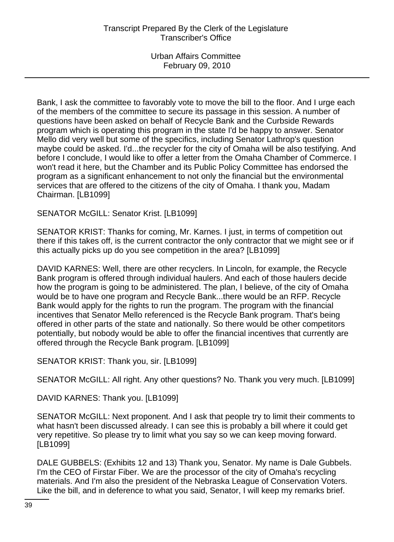Bank, I ask the committee to favorably vote to move the bill to the floor. And I urge each of the members of the committee to secure its passage in this session. A number of questions have been asked on behalf of Recycle Bank and the Curbside Rewards program which is operating this program in the state I'd be happy to answer. Senator Mello did very well but some of the specifics, including Senator Lathrop's question maybe could be asked. I'd...the recycler for the city of Omaha will be also testifying. And before I conclude, I would like to offer a letter from the Omaha Chamber of Commerce. I won't read it here, but the Chamber and its Public Policy Committee has endorsed the program as a significant enhancement to not only the financial but the environmental services that are offered to the citizens of the city of Omaha. I thank you, Madam Chairman. [LB1099]

SENATOR McGILL: Senator Krist. [LB1099]

SENATOR KRIST: Thanks for coming, Mr. Karnes. I just, in terms of competition out there if this takes off, is the current contractor the only contractor that we might see or if this actually picks up do you see competition in the area? [LB1099]

DAVID KARNES: Well, there are other recyclers. In Lincoln, for example, the Recycle Bank program is offered through individual haulers. And each of those haulers decide how the program is going to be administered. The plan, I believe, of the city of Omaha would be to have one program and Recycle Bank...there would be an RFP. Recycle Bank would apply for the rights to run the program. The program with the financial incentives that Senator Mello referenced is the Recycle Bank program. That's being offered in other parts of the state and nationally. So there would be other competitors potentially, but nobody would be able to offer the financial incentives that currently are offered through the Recycle Bank program. [LB1099]

SENATOR KRIST: Thank you, sir. [LB1099]

SENATOR McGILL: All right. Any other questions? No. Thank you very much. [LB1099]

DAVID KARNES: Thank you. [LB1099]

SENATOR McGILL: Next proponent. And I ask that people try to limit their comments to what hasn't been discussed already. I can see this is probably a bill where it could get very repetitive. So please try to limit what you say so we can keep moving forward. [LB1099]

DALE GUBBELS: (Exhibits 12 and 13) Thank you, Senator. My name is Dale Gubbels. I'm the CEO of Firstar Fiber. We are the processor of the city of Omaha's recycling materials. And I'm also the president of the Nebraska League of Conservation Voters. Like the bill, and in deference to what you said, Senator, I will keep my remarks brief.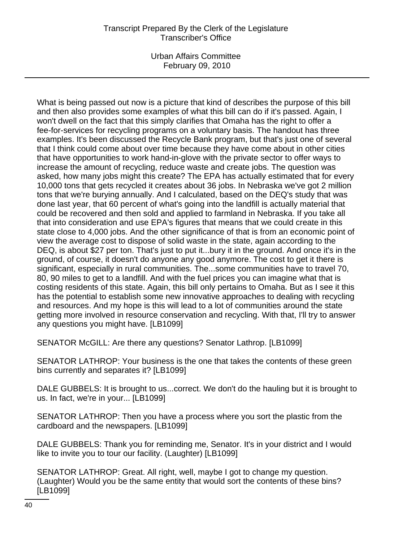Urban Affairs Committee February 09, 2010

What is being passed out now is a picture that kind of describes the purpose of this bill and then also provides some examples of what this bill can do if it's passed. Again, I won't dwell on the fact that this simply clarifies that Omaha has the right to offer a fee-for-services for recycling programs on a voluntary basis. The handout has three examples. It's been discussed the Recycle Bank program, but that's just one of several that I think could come about over time because they have come about in other cities that have opportunities to work hand-in-glove with the private sector to offer ways to increase the amount of recycling, reduce waste and create jobs. The question was asked, how many jobs might this create? The EPA has actually estimated that for every 10,000 tons that gets recycled it creates about 36 jobs. In Nebraska we've got 2 million tons that we're burying annually. And I calculated, based on the DEQ's study that was done last year, that 60 percent of what's going into the landfill is actually material that could be recovered and then sold and applied to farmland in Nebraska. If you take all that into consideration and use EPA's figures that means that we could create in this state close to 4,000 jobs. And the other significance of that is from an economic point of view the average cost to dispose of solid waste in the state, again according to the DEQ, is about \$27 per ton. That's just to put it...bury it in the ground. And once it's in the ground, of course, it doesn't do anyone any good anymore. The cost to get it there is significant, especially in rural communities. The...some communities have to travel 70, 80, 90 miles to get to a landfill. And with the fuel prices you can imagine what that is costing residents of this state. Again, this bill only pertains to Omaha. But as I see it this has the potential to establish some new innovative approaches to dealing with recycling and resources. And my hope is this will lead to a lot of communities around the state getting more involved in resource conservation and recycling. With that, I'll try to answer any questions you might have. [LB1099]

SENATOR McGILL: Are there any questions? Senator Lathrop. [LB1099]

SENATOR LATHROP: Your business is the one that takes the contents of these green bins currently and separates it? [LB1099]

DALE GUBBELS: It is brought to us...correct. We don't do the hauling but it is brought to us. In fact, we're in your... [LB1099]

SENATOR LATHROP: Then you have a process where you sort the plastic from the cardboard and the newspapers. [LB1099]

DALE GUBBELS: Thank you for reminding me, Senator. It's in your district and I would like to invite you to tour our facility. (Laughter) [LB1099]

SENATOR LATHROP: Great. All right, well, maybe I got to change my question. (Laughter) Would you be the same entity that would sort the contents of these bins? [LB1099]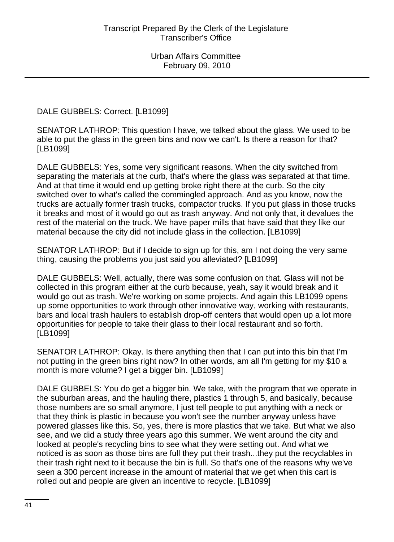DALE GUBBELS: Correct. [LB1099]

SENATOR LATHROP: This question I have, we talked about the glass. We used to be able to put the glass in the green bins and now we can't. Is there a reason for that? [LB1099]

DALE GUBBELS: Yes, some very significant reasons. When the city switched from separating the materials at the curb, that's where the glass was separated at that time. And at that time it would end up getting broke right there at the curb. So the city switched over to what's called the commingled approach. And as you know, now the trucks are actually former trash trucks, compactor trucks. If you put glass in those trucks it breaks and most of it would go out as trash anyway. And not only that, it devalues the rest of the material on the truck. We have paper mills that have said that they like our material because the city did not include glass in the collection. [LB1099]

SENATOR LATHROP: But if I decide to sign up for this, am I not doing the very same thing, causing the problems you just said you alleviated? [LB1099]

DALE GUBBELS: Well, actually, there was some confusion on that. Glass will not be collected in this program either at the curb because, yeah, say it would break and it would go out as trash. We're working on some projects. And again this LB1099 opens up some opportunities to work through other innovative way, working with restaurants, bars and local trash haulers to establish drop-off centers that would open up a lot more opportunities for people to take their glass to their local restaurant and so forth. [LB1099]

SENATOR LATHROP: Okay. Is there anything then that I can put into this bin that I'm not putting in the green bins right now? In other words, am all I'm getting for my \$10 a month is more volume? I get a bigger bin. [LB1099]

DALE GUBBELS: You do get a bigger bin. We take, with the program that we operate in the suburban areas, and the hauling there, plastics 1 through 5, and basically, because those numbers are so small anymore, I just tell people to put anything with a neck or that they think is plastic in because you won't see the number anyway unless have powered glasses like this. So, yes, there is more plastics that we take. But what we also see, and we did a study three years ago this summer. We went around the city and looked at people's recycling bins to see what they were setting out. And what we noticed is as soon as those bins are full they put their trash...they put the recyclables in their trash right next to it because the bin is full. So that's one of the reasons why we've seen a 300 percent increase in the amount of material that we get when this cart is rolled out and people are given an incentive to recycle. [LB1099]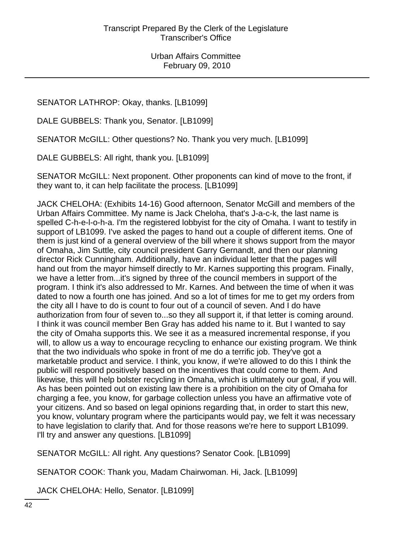SENATOR LATHROP: Okay, thanks. [LB1099]

DALE GUBBELS: Thank you, Senator. [LB1099]

SENATOR McGILL: Other questions? No. Thank you very much. [LB1099]

DALE GUBBELS: All right, thank you. [LB1099]

SENATOR McGILL: Next proponent. Other proponents can kind of move to the front, if they want to, it can help facilitate the process. [LB1099]

JACK CHELOHA: (Exhibits 14-16) Good afternoon, Senator McGill and members of the Urban Affairs Committee. My name is Jack Cheloha, that's J-a-c-k, the last name is spelled C-h-e-l-o-h-a. I'm the registered lobbyist for the city of Omaha. I want to testify in support of LB1099. I've asked the pages to hand out a couple of different items. One of them is just kind of a general overview of the bill where it shows support from the mayor of Omaha, Jim Suttle, city council president Garry Gernandt, and then our planning director Rick Cunningham. Additionally, have an individual letter that the pages will hand out from the mayor himself directly to Mr. Karnes supporting this program. Finally, we have a letter from...it's signed by three of the council members in support of the program. I think it's also addressed to Mr. Karnes. And between the time of when it was dated to now a fourth one has joined. And so a lot of times for me to get my orders from the city all I have to do is count to four out of a council of seven. And I do have authorization from four of seven to...so they all support it, if that letter is coming around. I think it was council member Ben Gray has added his name to it. But I wanted to say the city of Omaha supports this. We see it as a measured incremental response, if you will, to allow us a way to encourage recycling to enhance our existing program. We think that the two individuals who spoke in front of me do a terrific job. They've got a marketable product and service. I think, you know, if we're allowed to do this I think the public will respond positively based on the incentives that could come to them. And likewise, this will help bolster recycling in Omaha, which is ultimately our goal, if you will. As has been pointed out on existing law there is a prohibition on the city of Omaha for charging a fee, you know, for garbage collection unless you have an affirmative vote of your citizens. And so based on legal opinions regarding that, in order to start this new, you know, voluntary program where the participants would pay, we felt it was necessary to have legislation to clarify that. And for those reasons we're here to support LB1099. I'll try and answer any questions. [LB1099]

SENATOR McGILL: All right. Any questions? Senator Cook. [LB1099]

SENATOR COOK: Thank you, Madam Chairwoman. Hi, Jack. [LB1099]

JACK CHELOHA: Hello, Senator. [LB1099]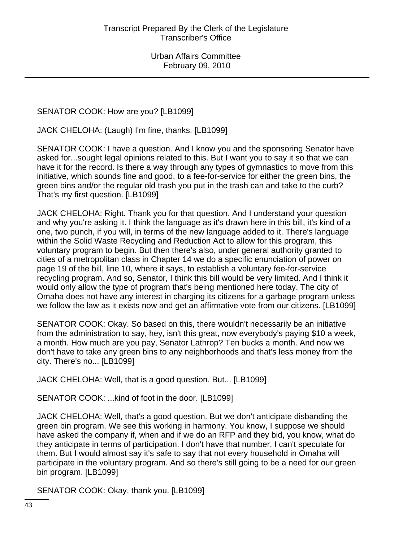# SENATOR COOK: How are you? [LB1099]

JACK CHELOHA: (Laugh) I'm fine, thanks. [LB1099]

SENATOR COOK: I have a question. And I know you and the sponsoring Senator have asked for...sought legal opinions related to this. But I want you to say it so that we can have it for the record. Is there a way through any types of gymnastics to move from this initiative, which sounds fine and good, to a fee-for-service for either the green bins, the green bins and/or the regular old trash you put in the trash can and take to the curb? That's my first question. [LB1099]

JACK CHELOHA: Right. Thank you for that question. And I understand your question and why you're asking it. I think the language as it's drawn here in this bill, it's kind of a one, two punch, if you will, in terms of the new language added to it. There's language within the Solid Waste Recycling and Reduction Act to allow for this program, this voluntary program to begin. But then there's also, under general authority granted to cities of a metropolitan class in Chapter 14 we do a specific enunciation of power on page 19 of the bill, line 10, where it says, to establish a voluntary fee-for-service recycling program. And so, Senator, I think this bill would be very limited. And I think it would only allow the type of program that's being mentioned here today. The city of Omaha does not have any interest in charging its citizens for a garbage program unless we follow the law as it exists now and get an affirmative vote from our citizens. [LB1099]

SENATOR COOK: Okay. So based on this, there wouldn't necessarily be an initiative from the administration to say, hey, isn't this great, now everybody's paying \$10 a week, a month. How much are you pay, Senator Lathrop? Ten bucks a month. And now we don't have to take any green bins to any neighborhoods and that's less money from the city. There's no... [LB1099]

JACK CHELOHA: Well, that is a good question. But... [LB1099]

SENATOR COOK: ...kind of foot in the door. [LB1099]

JACK CHELOHA: Well, that's a good question. But we don't anticipate disbanding the green bin program. We see this working in harmony. You know, I suppose we should have asked the company if, when and if we do an RFP and they bid, you know, what do they anticipate in terms of participation. I don't have that number, I can't speculate for them. But I would almost say it's safe to say that not every household in Omaha will participate in the voluntary program. And so there's still going to be a need for our green bin program. [LB1099]

SENATOR COOK: Okay, thank you. [LB1099]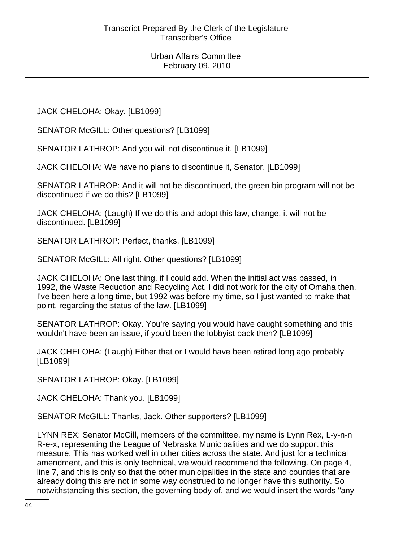JACK CHELOHA: Okay. [LB1099]

SENATOR McGILL: Other questions? [LB1099]

SENATOR LATHROP: And you will not discontinue it. [LB1099]

JACK CHELOHA: We have no plans to discontinue it, Senator. [LB1099]

SENATOR LATHROP: And it will not be discontinued, the green bin program will not be discontinued if we do this? [LB1099]

JACK CHELOHA: (Laugh) If we do this and adopt this law, change, it will not be discontinued. [LB1099]

SENATOR LATHROP: Perfect, thanks. [LB1099]

SENATOR McGILL: All right. Other questions? [LB1099]

JACK CHELOHA: One last thing, if I could add. When the initial act was passed, in 1992, the Waste Reduction and Recycling Act, I did not work for the city of Omaha then. I've been here a long time, but 1992 was before my time, so I just wanted to make that point, regarding the status of the law. [LB1099]

SENATOR LATHROP: Okay. You're saying you would have caught something and this wouldn't have been an issue, if you'd been the lobbyist back then? [LB1099]

JACK CHELOHA: (Laugh) Either that or I would have been retired long ago probably [LB1099]

SENATOR LATHROP: Okay. [LB1099]

JACK CHELOHA: Thank you. [LB1099]

SENATOR McGILL: Thanks, Jack. Other supporters? [LB1099]

LYNN REX: Senator McGill, members of the committee, my name is Lynn Rex, L-y-n-n R-e-x, representing the League of Nebraska Municipalities and we do support this measure. This has worked well in other cities across the state. And just for a technical amendment, and this is only technical, we would recommend the following. On page 4, line 7, and this is only so that the other municipalities in the state and counties that are already doing this are not in some way construed to no longer have this authority. So notwithstanding this section, the governing body of, and we would insert the words "any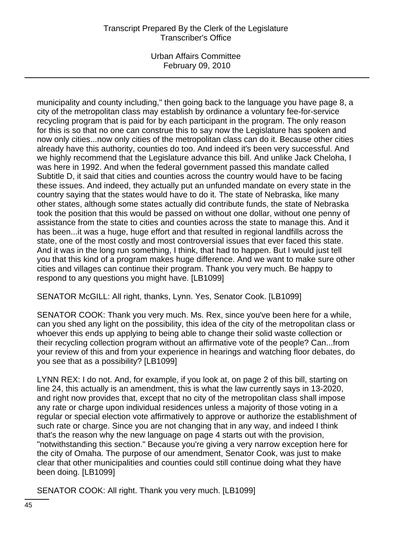Urban Affairs Committee February 09, 2010

municipality and county including," then going back to the language you have page 8, a city of the metropolitan class may establish by ordinance a voluntary fee-for-service recycling program that is paid for by each participant in the program. The only reason for this is so that no one can construe this to say now the Legislature has spoken and now only cities...now only cities of the metropolitan class can do it. Because other cities already have this authority, counties do too. And indeed it's been very successful. And we highly recommend that the Legislature advance this bill. And unlike Jack Cheloha, I was here in 1992. And when the federal government passed this mandate called Subtitle D, it said that cities and counties across the country would have to be facing these issues. And indeed, they actually put an unfunded mandate on every state in the country saying that the states would have to do it. The state of Nebraska, like many other states, although some states actually did contribute funds, the state of Nebraska took the position that this would be passed on without one dollar, without one penny of assistance from the state to cities and counties across the state to manage this. And it has been...it was a huge, huge effort and that resulted in regional landfills across the state, one of the most costly and most controversial issues that ever faced this state. And it was in the long run something, I think, that had to happen. But I would just tell you that this kind of a program makes huge difference. And we want to make sure other cities and villages can continue their program. Thank you very much. Be happy to respond to any questions you might have. [LB1099]

SENATOR McGILL: All right, thanks, Lynn. Yes, Senator Cook. [LB1099]

SENATOR COOK: Thank you very much. Ms. Rex, since you've been here for a while, can you shed any light on the possibility, this idea of the city of the metropolitan class or whoever this ends up applying to being able to change their solid waste collection or their recycling collection program without an affirmative vote of the people? Can...from your review of this and from your experience in hearings and watching floor debates, do you see that as a possibility? [LB1099]

LYNN REX: I do not. And, for example, if you look at, on page 2 of this bill, starting on line 24, this actually is an amendment, this is what the law currently says in 13-2020, and right now provides that, except that no city of the metropolitan class shall impose any rate or charge upon individual residences unless a majority of those voting in a regular or special election vote affirmatively to approve or authorize the establishment of such rate or charge. Since you are not changing that in any way, and indeed I think that's the reason why the new language on page 4 starts out with the provision, "notwithstanding this section." Because you're giving a very narrow exception here for the city of Omaha. The purpose of our amendment, Senator Cook, was just to make clear that other municipalities and counties could still continue doing what they have been doing. [LB1099]

SENATOR COOK: All right. Thank you very much. [LB1099]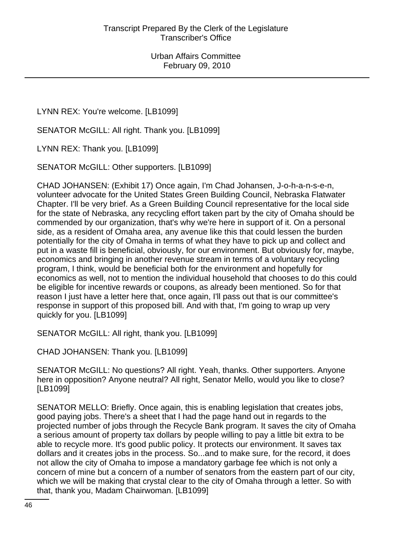LYNN REX: You're welcome. [LB1099]

SENATOR McGILL: All right. Thank you. [LB1099]

LYNN REX: Thank you. [LB1099]

SENATOR McGILL: Other supporters. [LB1099]

CHAD JOHANSEN: (Exhibit 17) Once again, I'm Chad Johansen, J-o-h-a-n-s-e-n, volunteer advocate for the United States Green Building Council, Nebraska Flatwater Chapter. I'll be very brief. As a Green Building Council representative for the local side for the state of Nebraska, any recycling effort taken part by the city of Omaha should be commended by our organization, that's why we're here in support of it. On a personal side, as a resident of Omaha area, any avenue like this that could lessen the burden potentially for the city of Omaha in terms of what they have to pick up and collect and put in a waste fill is beneficial, obviously, for our environment. But obviously for, maybe, economics and bringing in another revenue stream in terms of a voluntary recycling program, I think, would be beneficial both for the environment and hopefully for economics as well, not to mention the individual household that chooses to do this could be eligible for incentive rewards or coupons, as already been mentioned. So for that reason I just have a letter here that, once again, I'll pass out that is our committee's response in support of this proposed bill. And with that, I'm going to wrap up very quickly for you. [LB1099]

SENATOR McGILL: All right, thank you. [LB1099]

CHAD JOHANSEN: Thank you. [LB1099]

SENATOR McGILL: No questions? All right. Yeah, thanks. Other supporters. Anyone here in opposition? Anyone neutral? All right, Senator Mello, would you like to close? [LB1099]

SENATOR MELLO: Briefly. Once again, this is enabling legislation that creates jobs, good paying jobs. There's a sheet that I had the page hand out in regards to the projected number of jobs through the Recycle Bank program. It saves the city of Omaha a serious amount of property tax dollars by people willing to pay a little bit extra to be able to recycle more. It's good public policy. It protects our environment. It saves tax dollars and it creates jobs in the process. So...and to make sure, for the record, it does not allow the city of Omaha to impose a mandatory garbage fee which is not only a concern of mine but a concern of a number of senators from the eastern part of our city, which we will be making that crystal clear to the city of Omaha through a letter. So with that, thank you, Madam Chairwoman. [LB1099]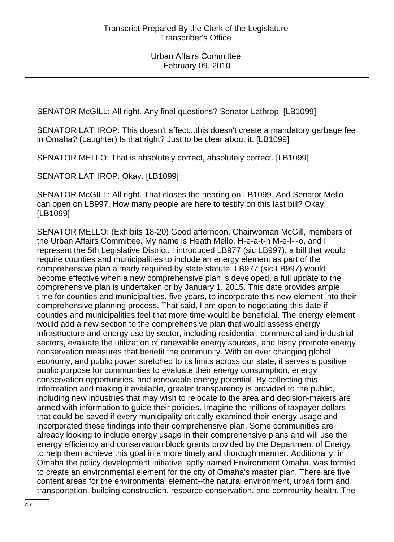SENATOR McGILL: All right. Any final questions? Senator Lathrop. [LB1099]

SENATOR LATHROP: This doesn't affect...this doesn't create a mandatory garbage fee in Omaha? (Laughter) Is that right? Just to be clear about it. [LB1099]

SENATOR MELLO: That is absolutely correct, absolutely correct. [LB1099]

SENATOR LATHROP: Okay. [LB1099]

SENATOR McGILL: All right. That closes the hearing on LB1099. And Senator Mello can open on LB997. How many people are here to testify on this last bill? Okay. [LB1099]

SENATOR MELLO: (Exhibits 18-20) Good afternoon, Chairwoman McGill, members of the Urban Affairs Committee. My name is Heath Mello, H-e-a-t-h M-e-l-l-o, and I represent the 5th Legislative District. I introduced LB977 (sic LB997), a bill that would require counties and municipalities to include an energy element as part of the comprehensive plan already required by state statute. LB977 (sic LB997) would become effective when a new comprehensive plan is developed, a full update to the comprehensive plan is undertaken or by January 1, 2015. This date provides ample time for counties and municipalities, five years, to incorporate this new element into their comprehensive planning process. That said, I am open to negotiating this date if counties and municipalities feel that more time would be beneficial. The energy element would add a new section to the comprehensive plan that would assess energy infrastructure and energy use by sector, including residential, commercial and industrial sectors, evaluate the utilization of renewable energy sources, and lastly promote energy conservation measures that benefit the community. With an ever changing global economy, and public power stretched to its limits across our state, it serves a positive public purpose for communities to evaluate their energy consumption, energy conservation opportunities, and renewable energy potential. By collecting this information and making it available, greater transparency is provided to the public, including new industries that may wish to relocate to the area and decision-makers are armed with information to guide their policies. Imagine the millions of taxpayer dollars that could be saved if every municipality critically examined their energy usage and incorporated these findings into their comprehensive plan. Some communities are already looking to include energy usage in their comprehensive plans and will use the energy efficiency and conservation block grants provided by the Department of Energy to help them achieve this goal in a more timely and thorough manner. Additionally, in Omaha the policy development initiative, aptly named Environment Omaha, was formed to create an environmental element for the city of Omaha's master plan. There are five content areas for the environmental element--the natural environment, urban form and transportation, building construction, resource conservation, and community health. The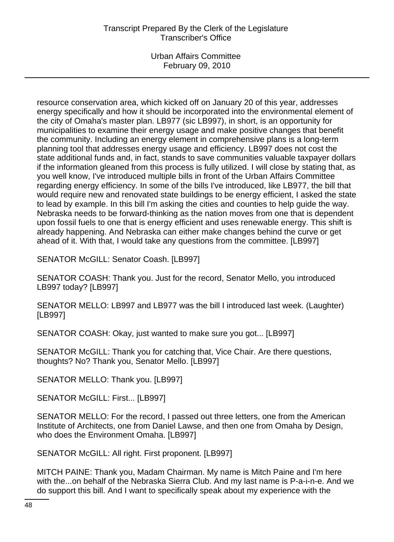Urban Affairs Committee February 09, 2010

resource conservation area, which kicked off on January 20 of this year, addresses energy specifically and how it should be incorporated into the environmental element of the city of Omaha's master plan. LB977 (sic LB997), in short, is an opportunity for municipalities to examine their energy usage and make positive changes that benefit the community. Including an energy element in comprehensive plans is a long-term planning tool that addresses energy usage and efficiency. LB997 does not cost the state additional funds and, in fact, stands to save communities valuable taxpayer dollars if the information gleaned from this process is fully utilized. I will close by stating that, as you well know, I've introduced multiple bills in front of the Urban Affairs Committee regarding energy efficiency. In some of the bills I've introduced, like LB977, the bill that would require new and renovated state buildings to be energy efficient, I asked the state to lead by example. In this bill I'm asking the cities and counties to help guide the way. Nebraska needs to be forward-thinking as the nation moves from one that is dependent upon fossil fuels to one that is energy efficient and uses renewable energy. This shift is already happening. And Nebraska can either make changes behind the curve or get ahead of it. With that, I would take any questions from the committee. [LB997]

SENATOR McGILL: Senator Coash. [LB997]

SENATOR COASH: Thank you. Just for the record, Senator Mello, you introduced LB997 today? [LB997]

SENATOR MELLO: LB997 and LB977 was the bill I introduced last week. (Laughter) [LB997]

SENATOR COASH: Okay, just wanted to make sure you got... [LB997]

SENATOR McGILL: Thank you for catching that, Vice Chair. Are there questions, thoughts? No? Thank you, Senator Mello. [LB997]

SENATOR MELLO: Thank you. [LB997]

SENATOR McGILL: First... [LB997]

SENATOR MELLO: For the record, I passed out three letters, one from the American Institute of Architects, one from Daniel Lawse, and then one from Omaha by Design, who does the Environment Omaha. [LB997]

SENATOR McGILL: All right. First proponent. [LB997]

MITCH PAINE: Thank you, Madam Chairman. My name is Mitch Paine and I'm here with the...on behalf of the Nebraska Sierra Club. And my last name is P-a-i-n-e. And we do support this bill. And I want to specifically speak about my experience with the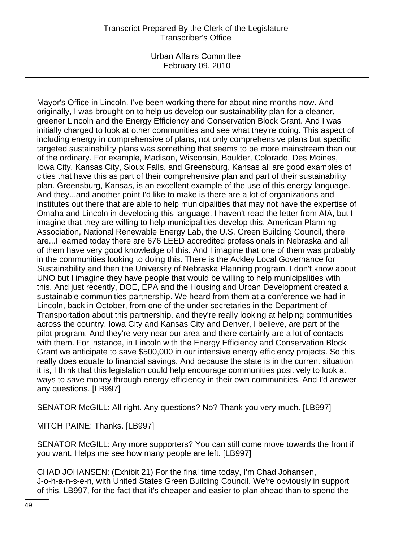Urban Affairs Committee February 09, 2010

Mayor's Office in Lincoln. I've been working there for about nine months now. And originally, I was brought on to help us develop our sustainability plan for a cleaner, greener Lincoln and the Energy Efficiency and Conservation Block Grant. And I was initially charged to look at other communities and see what they're doing. This aspect of including energy in comprehensive of plans, not only comprehensive plans but specific targeted sustainability plans was something that seems to be more mainstream than out of the ordinary. For example, Madison, Wisconsin, Boulder, Colorado, Des Moines, Iowa City, Kansas City, Sioux Falls, and Greensburg, Kansas all are good examples of cities that have this as part of their comprehensive plan and part of their sustainability plan. Greensburg, Kansas, is an excellent example of the use of this energy language. And they...and another point I'd like to make is there are a lot of organizations and institutes out there that are able to help municipalities that may not have the expertise of Omaha and Lincoln in developing this language. I haven't read the letter from AIA, but I imagine that they are willing to help municipalities develop this. American Planning Association, National Renewable Energy Lab, the U.S. Green Building Council, there are...I learned today there are 676 LEED accredited professionals in Nebraska and all of them have very good knowledge of this. And I imagine that one of them was probably in the communities looking to doing this. There is the Ackley Local Governance for Sustainability and then the University of Nebraska Planning program. I don't know about UNO but I imagine they have people that would be willing to help municipalities with this. And just recently, DOE, EPA and the Housing and Urban Development created a sustainable communities partnership. We heard from them at a conference we had in Lincoln, back in October, from one of the under secretaries in the Department of Transportation about this partnership. and they're really looking at helping communities across the country. Iowa City and Kansas City and Denver, I believe, are part of the pilot program. And they're very near our area and there certainly are a lot of contacts with them. For instance, in Lincoln with the Energy Efficiency and Conservation Block Grant we anticipate to save \$500,000 in our intensive energy efficiency projects. So this really does equate to financial savings. And because the state is in the current situation it is, I think that this legislation could help encourage communities positively to look at ways to save money through energy efficiency in their own communities. And I'd answer any questions. [LB997]

SENATOR McGILL: All right. Any questions? No? Thank you very much. [LB997]

MITCH PAINE: Thanks. [LB997]

SENATOR McGILL: Any more supporters? You can still come move towards the front if you want. Helps me see how many people are left. [LB997]

CHAD JOHANSEN: (Exhibit 21) For the final time today, I'm Chad Johansen, J-o-h-a-n-s-e-n, with United States Green Building Council. We're obviously in support of this, LB997, for the fact that it's cheaper and easier to plan ahead than to spend the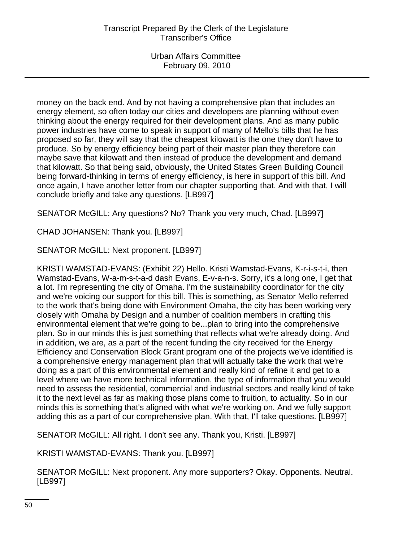money on the back end. And by not having a comprehensive plan that includes an energy element, so often today our cities and developers are planning without even thinking about the energy required for their development plans. And as many public power industries have come to speak in support of many of Mello's bills that he has proposed so far, they will say that the cheapest kilowatt is the one they don't have to produce. So by energy efficiency being part of their master plan they therefore can maybe save that kilowatt and then instead of produce the development and demand that kilowatt. So that being said, obviously, the United States Green Building Council being forward-thinking in terms of energy efficiency, is here in support of this bill. And once again, I have another letter from our chapter supporting that. And with that, I will conclude briefly and take any questions. [LB997]

SENATOR McGILL: Any questions? No? Thank you very much, Chad. [LB997]

CHAD JOHANSEN: Thank you. [LB997]

SENATOR McGILL: Next proponent. [LB997]

KRISTI WAMSTAD-EVANS: (Exhibit 22) Hello. Kristi Wamstad-Evans, K-r-i-s-t-i, then Wamstad-Evans, W-a-m-s-t-a-d dash Evans, E-v-a-n-s. Sorry, it's a long one, I get that a lot. I'm representing the city of Omaha. I'm the sustainability coordinator for the city and we're voicing our support for this bill. This is something, as Senator Mello referred to the work that's being done with Environment Omaha, the city has been working very closely with Omaha by Design and a number of coalition members in crafting this environmental element that we're going to be...plan to bring into the comprehensive plan. So in our minds this is just something that reflects what we're already doing. And in addition, we are, as a part of the recent funding the city received for the Energy Efficiency and Conservation Block Grant program one of the projects we've identified is a comprehensive energy management plan that will actually take the work that we're doing as a part of this environmental element and really kind of refine it and get to a level where we have more technical information, the type of information that you would need to assess the residential, commercial and industrial sectors and really kind of take it to the next level as far as making those plans come to fruition, to actuality. So in our minds this is something that's aligned with what we're working on. And we fully support adding this as a part of our comprehensive plan. With that, I'll take questions. [LB997]

SENATOR McGILL: All right. I don't see any. Thank you, Kristi. [LB997]

KRISTI WAMSTAD-EVANS: Thank you. [LB997]

SENATOR McGILL: Next proponent. Any more supporters? Okay. Opponents. Neutral. [LB997]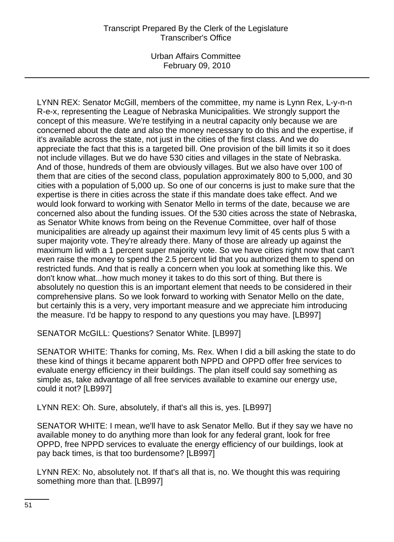LYNN REX: Senator McGill, members of the committee, my name is Lynn Rex, L-y-n-n R-e-x, representing the League of Nebraska Municipalities. We strongly support the concept of this measure. We're testifying in a neutral capacity only because we are concerned about the date and also the money necessary to do this and the expertise, if it's available across the state, not just in the cities of the first class. And we do appreciate the fact that this is a targeted bill. One provision of the bill limits it so it does not include villages. But we do have 530 cities and villages in the state of Nebraska. And of those, hundreds of them are obviously villages. But we also have over 100 of them that are cities of the second class, population approximately 800 to 5,000, and 30 cities with a population of 5,000 up. So one of our concerns is just to make sure that the expertise is there in cities across the state if this mandate does take effect. And we would look forward to working with Senator Mello in terms of the date, because we are concerned also about the funding issues. Of the 530 cities across the state of Nebraska, as Senator White knows from being on the Revenue Committee, over half of those municipalities are already up against their maximum levy limit of 45 cents plus 5 with a super majority vote. They're already there. Many of those are already up against the maximum lid with a 1 percent super majority vote. So we have cities right now that can't even raise the money to spend the 2.5 percent lid that you authorized them to spend on restricted funds. And that is really a concern when you look at something like this. We don't know what...how much money it takes to do this sort of thing. But there is absolutely no question this is an important element that needs to be considered in their comprehensive plans. So we look forward to working with Senator Mello on the date, but certainly this is a very, very important measure and we appreciate him introducing the measure. I'd be happy to respond to any questions you may have. [LB997]

SENATOR McGILL: Questions? Senator White. [LB997]

SENATOR WHITE: Thanks for coming, Ms. Rex. When I did a bill asking the state to do these kind of things it became apparent both NPPD and OPPD offer free services to evaluate energy efficiency in their buildings. The plan itself could say something as simple as, take advantage of all free services available to examine our energy use, could it not? [LB997]

LYNN REX: Oh. Sure, absolutely, if that's all this is, yes. [LB997]

SENATOR WHITE: I mean, we'll have to ask Senator Mello. But if they say we have no available money to do anything more than look for any federal grant, look for free OPPD, free NPPD services to evaluate the energy efficiency of our buildings, look at pay back times, is that too burdensome? [LB997]

LYNN REX: No, absolutely not. If that's all that is, no. We thought this was requiring something more than that. [LB997]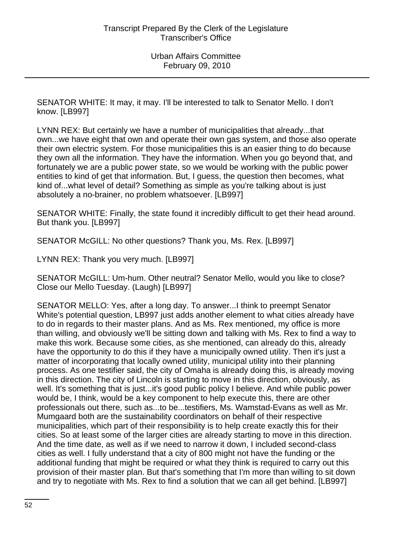SENATOR WHITE: It may, it may. I'll be interested to talk to Senator Mello. I don't know. [LB997]

LYNN REX: But certainly we have a number of municipalities that already...that own...we have eight that own and operate their own gas system, and those also operate their own electric system. For those municipalities this is an easier thing to do because they own all the information. They have the information. When you go beyond that, and fortunately we are a public power state, so we would be working with the public power entities to kind of get that information. But, I guess, the question then becomes, what kind of...what level of detail? Something as simple as you're talking about is just absolutely a no-brainer, no problem whatsoever. [LB997]

SENATOR WHITE: Finally, the state found it incredibly difficult to get their head around. But thank you. [LB997]

SENATOR McGILL: No other questions? Thank you, Ms. Rex. [LB997]

LYNN REX: Thank you very much. [LB997]

SENATOR McGILL: Um-hum. Other neutral? Senator Mello, would you like to close? Close our Mello Tuesday. (Laugh) [LB997]

SENATOR MELLO: Yes, after a long day. To answer...I think to preempt Senator White's potential question, LB997 just adds another element to what cities already have to do in regards to their master plans. And as Ms. Rex mentioned, my office is more than willing, and obviously we'll be sitting down and talking with Ms. Rex to find a way to make this work. Because some cities, as she mentioned, can already do this, already have the opportunity to do this if they have a municipally owned utility. Then it's just a matter of incorporating that locally owned utility, municipal utility into their planning process. As one testifier said, the city of Omaha is already doing this, is already moving in this direction. The city of Lincoln is starting to move in this direction, obviously, as well. It's something that is just...it's good public policy I believe. And while public power would be, I think, would be a key component to help execute this, there are other professionals out there, such as...to be...testifiers, Ms. Wamstad-Evans as well as Mr. Mumgaard both are the sustainability coordinators on behalf of their respective municipalities, which part of their responsibility is to help create exactly this for their cities. So at least some of the larger cities are already starting to move in this direction. And the time date, as well as if we need to narrow it down, I included second-class cities as well. I fully understand that a city of 800 might not have the funding or the additional funding that might be required or what they think is required to carry out this provision of their master plan. But that's something that I'm more than willing to sit down and try to negotiate with Ms. Rex to find a solution that we can all get behind. [LB997]